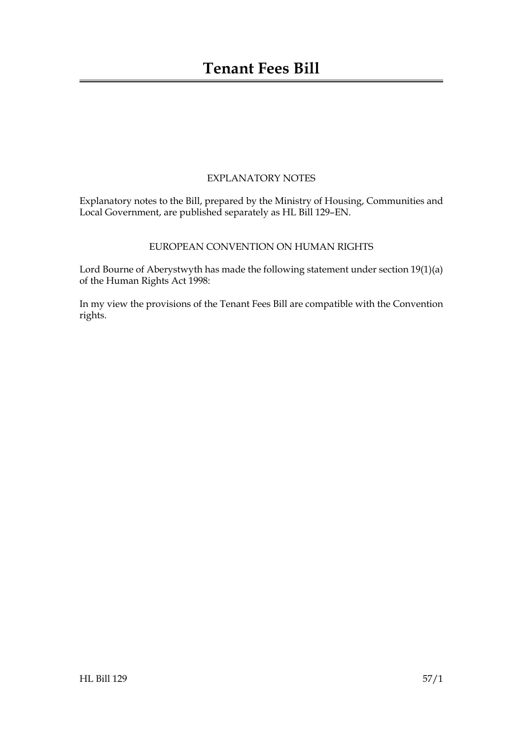#### EXPLANATORY NOTES

Explanatory notes to the Bill, prepared by the Ministry of Housing, Communities and Local Government, are published separately as HL Bill 129–EN.

#### EUROPEAN CONVENTION ON HUMAN RIGHTS

Lord Bourne of Aberystwyth has made the following statement under section 19(1)(a) of the Human Rights Act 1998:

In my view the provisions of the Tenant Fees Bill are compatible with the Convention rights.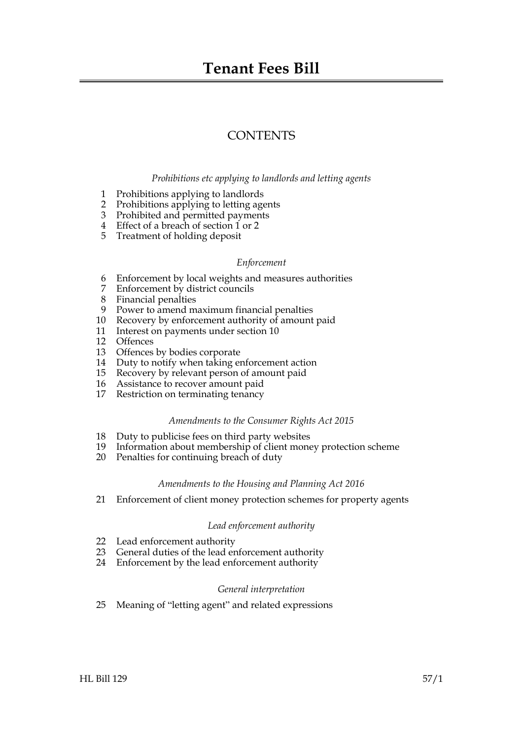## **Tenant Fees Bill**

## **CONTENTS**

#### *Prohibitions etc applying to landlords and letting agents*

- 1 Prohibitions applying to landlords
- 2 Prohibitions applying to letting agents
- 3 Prohibited and permitted payments
- 4 Effect of a breach of section 1 or 2
- 5 Treatment of holding deposit

#### *Enforcement*

- 6 Enforcement by local weights and measures authorities
- 7 Enforcement by district councils
- 8 Financial penalties
- 9 Power to amend maximum financial penalties
- 10 Recovery by enforcement authority of amount paid
- 11 Interest on payments under section 10
- 12 Offences
- 13 Offences by bodies corporate
- 14 Duty to notify when taking enforcement action
- 15 Recovery by relevant person of amount paid
- 16 Assistance to recover amount paid
- 17 Restriction on terminating tenancy

#### *Amendments to the Consumer Rights Act 2015*

- 18 Duty to publicise fees on third party websites
- 19 Information about membership of client money protection scheme
- 20 Penalties for continuing breach of duty

#### *Amendments to the Housing and Planning Act 2016*

21 Enforcement of client money protection schemes for property agents

#### *Lead enforcement authority*

- 22 Lead enforcement authority
- 23 General duties of the lead enforcement authority
- 24 Enforcement by the lead enforcement authority

#### *General interpretation*

25 Meaning of "letting agent" and related expressions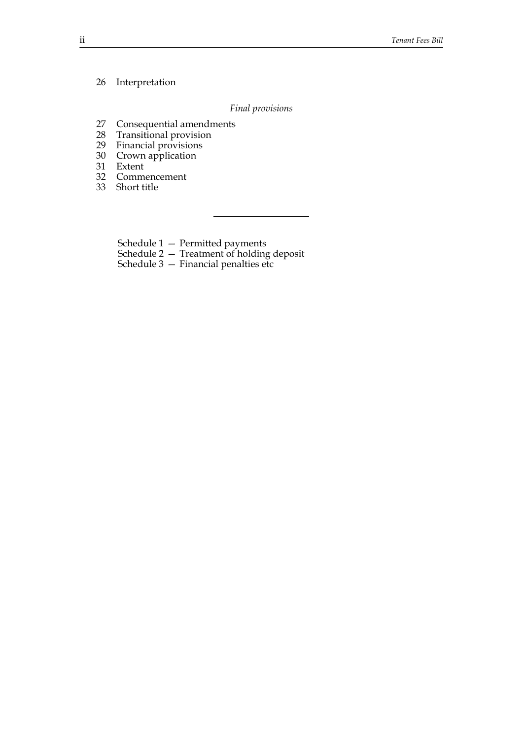#### 26 Interpretation

#### *Final provisions*

- 27 Consequential amendments<br>28 Transitional provision
- Transitional provision
- 29 Financial provisions
- 30 Crown application
- 31 Extent
- 32 Commencement
- 33 Short title

Schedule 1 — Permitted payments

Schedule 2 — Treatment of holding deposit

Schedule  $3$  – Financial penalties etc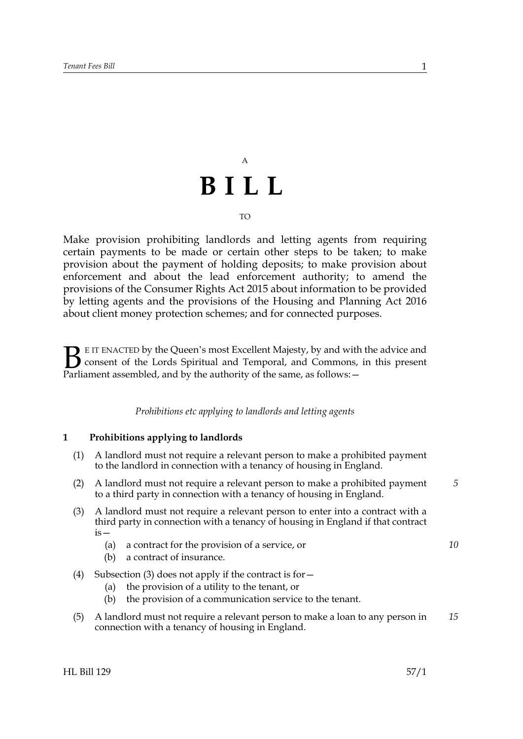# A **BILL**

#### TO

Make provision prohibiting landlords and letting agents from requiring certain payments to be made or certain other steps to be taken; to make provision about the payment of holding deposits; to make provision about enforcement and about the lead enforcement authority; to amend the provisions of the Consumer Rights Act 2015 about information to be provided by letting agents and the provisions of the Housing and Planning Act 2016 about client money protection schemes; and for connected purposes.

E IT ENACTED by the Queen's most Excellent Majesty, by and with the advice and consent of the Lords Spiritual and Temporal, and Commons, in this present **B** EIT ENACTED by the Queen's most Excellent Majesty, by and with consent of the Lords Spiritual and Temporal, and Commons, Parliament assembled, and by the authority of the same, as follows:  $-$ 

*Prohibitions etc applying to landlords and letting agents*

#### **1 Prohibitions applying to landlords**

- (1) A landlord must not require a relevant person to make a prohibited payment to the landlord in connection with a tenancy of housing in England.
- (2) A landlord must not require a relevant person to make a prohibited payment to a third party in connection with a tenancy of housing in England.
- (3) A landlord must not require a relevant person to enter into a contract with a third party in connection with a tenancy of housing in England if that contract is—
	- (a) a contract for the provision of a service, or
	- (b) a contract of insurance.
- (4) Subsection (3) does not apply if the contract is for  $-$ 
	- (a) the provision of a utility to the tenant, or
	- (b) the provision of a communication service to the tenant.
- (5) A landlord must not require a relevant person to make a loan to any person in connection with a tenancy of housing in England. *15*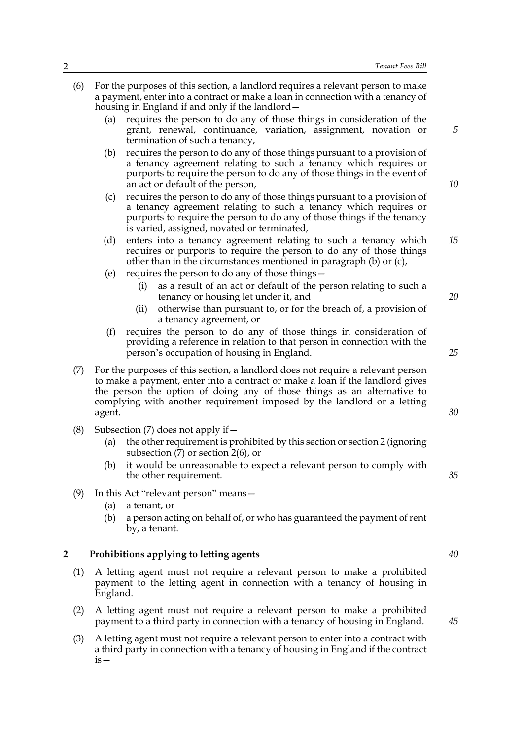|   | (6) | For the purposes of this section, a landlord requires a relevant person to make<br>a payment, enter into a contract or make a loan in connection with a tenancy of<br>housing in England if and only if the landlord –                                                                                                           |                                                                                                                                                                                                                                                                        |    |
|---|-----|----------------------------------------------------------------------------------------------------------------------------------------------------------------------------------------------------------------------------------------------------------------------------------------------------------------------------------|------------------------------------------------------------------------------------------------------------------------------------------------------------------------------------------------------------------------------------------------------------------------|----|
|   |     | (a)                                                                                                                                                                                                                                                                                                                              | requires the person to do any of those things in consideration of the<br>grant, renewal, continuance, variation, assignment, novation or<br>termination of such a tenancy,                                                                                             | 5  |
|   |     | (b)                                                                                                                                                                                                                                                                                                                              | requires the person to do any of those things pursuant to a provision of<br>a tenancy agreement relating to such a tenancy which requires or<br>purports to require the person to do any of those things in the event of<br>an act or default of the person,           | 10 |
|   |     | (c)                                                                                                                                                                                                                                                                                                                              | requires the person to do any of those things pursuant to a provision of<br>a tenancy agreement relating to such a tenancy which requires or<br>purports to require the person to do any of those things if the tenancy<br>is varied, assigned, novated or terminated, |    |
|   |     | (d)                                                                                                                                                                                                                                                                                                                              | enters into a tenancy agreement relating to such a tenancy which<br>requires or purports to require the person to do any of those things<br>other than in the circumstances mentioned in paragraph (b) or (c),                                                         | 15 |
|   |     | (e)                                                                                                                                                                                                                                                                                                                              | requires the person to do any of those things -<br>as a result of an act or default of the person relating to such a<br>(i)<br>tenancy or housing let under it, and<br>otherwise than pursuant to, or for the breach of, a provision of<br>(ii)                        | 20 |
|   |     | (f)                                                                                                                                                                                                                                                                                                                              | a tenancy agreement, or<br>requires the person to do any of those things in consideration of<br>providing a reference in relation to that person in connection with the<br>person's occupation of housing in England.                                                  | 25 |
|   | (7) | For the purposes of this section, a landlord does not require a relevant person<br>to make a payment, enter into a contract or make a loan if the landlord gives<br>the person the option of doing any of those things as an alternative to<br>complying with another requirement imposed by the landlord or a letting<br>agent. |                                                                                                                                                                                                                                                                        |    |
|   | (8) | (a)<br>(b)                                                                                                                                                                                                                                                                                                                       | Subsection (7) does not apply if $-$<br>the other requirement is prohibited by this section or section 2 (ignoring<br>subsection $(7)$ or section $2(6)$ , or<br>it would be unreasonable to expect a relevant person to comply with                                   |    |
|   | (9) | (a)<br>(b)                                                                                                                                                                                                                                                                                                                       | the other requirement.<br>In this Act "relevant person" means -<br>a tenant, or<br>a person acting on behalf of, or who has guaranteed the payment of rent<br>by, a tenant.                                                                                            | 35 |
| 2 |     |                                                                                                                                                                                                                                                                                                                                  | Prohibitions applying to letting agents                                                                                                                                                                                                                                | 40 |
|   | (1) | A letting agent must not require a relevant person to make a prohibited<br>payment to the letting agent in connection with a tenancy of housing in<br>England.                                                                                                                                                                   |                                                                                                                                                                                                                                                                        |    |
|   | (2) | A letting agent must not require a relevant person to make a prohibited<br>payment to a third party in connection with a tenancy of housing in England.                                                                                                                                                                          |                                                                                                                                                                                                                                                                        | 45 |
|   | (3) |                                                                                                                                                                                                                                                                                                                                  | A letting agent must not require a relevant person to enter into a contract with<br>a third party in connection with a tenancy of housing in England if the contract                                                                                                   |    |

is—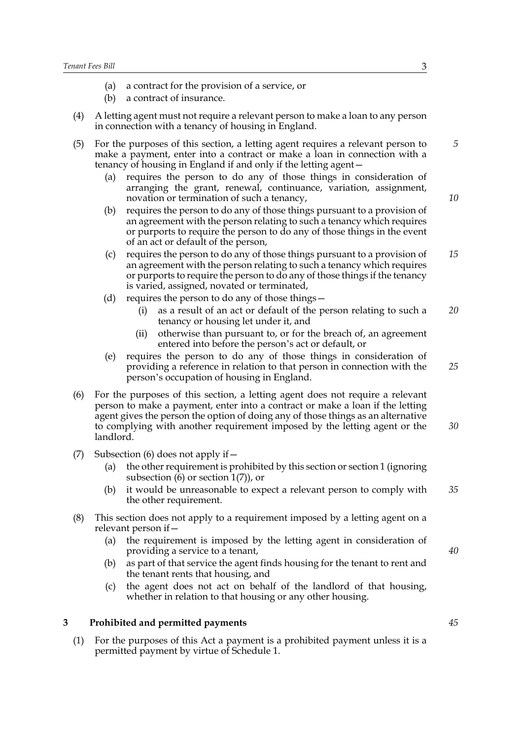- (a) a contract for the provision of a service, or
- (b) a contract of insurance.
- (4) A letting agent must not require a relevant person to make a loan to any person in connection with a tenancy of housing in England.
- (5) For the purposes of this section, a letting agent requires a relevant person to make a payment, enter into a contract or make a loan in connection with a tenancy of housing in England if and only if the letting agent— *5*
	- (a) requires the person to do any of those things in consideration of arranging the grant, renewal, continuance, variation, assignment, novation or termination of such a tenancy,
	- (b) requires the person to do any of those things pursuant to a provision of an agreement with the person relating to such a tenancy which requires or purports to require the person to do any of those things in the event of an act or default of the person,
	- (c) requires the person to do any of those things pursuant to a provision of an agreement with the person relating to such a tenancy which requires or purports to require the person to do any of those things if the tenancy is varied, assigned, novated or terminated, *15*
	- (d) requires the person to do any of those things—
		- (i) as a result of an act or default of the person relating to such a tenancy or housing let under it, and *20*
		- (ii) otherwise than pursuant to, or for the breach of, an agreement entered into before the person's act or default, or
	- (e) requires the person to do any of those things in consideration of providing a reference in relation to that person in connection with the person's occupation of housing in England.
- (6) For the purposes of this section, a letting agent does not require a relevant person to make a payment, enter into a contract or make a loan if the letting agent gives the person the option of doing any of those things as an alternative to complying with another requirement imposed by the letting agent or the landlord. *30*
- (7) Subsection (6) does not apply if  $-$ 
	- (a) the other requirement is prohibited by this section or section 1 (ignoring subsection  $(6)$  or section  $1(7)$ , or
	- (b) it would be unreasonable to expect a relevant person to comply with the other requirement. *35*
- (8) This section does not apply to a requirement imposed by a letting agent on a relevant person if—
	- (a) the requirement is imposed by the letting agent in consideration of providing a service to a tenant,
	- (b) as part of that service the agent finds housing for the tenant to rent and the tenant rents that housing, and
	- (c) the agent does not act on behalf of the landlord of that housing, whether in relation to that housing or any other housing.

#### **3 Prohibited and permitted payments**

(1) For the purposes of this Act a payment is a prohibited payment unless it is a permitted payment by virtue of Schedule 1.

*10*

*25*

*40*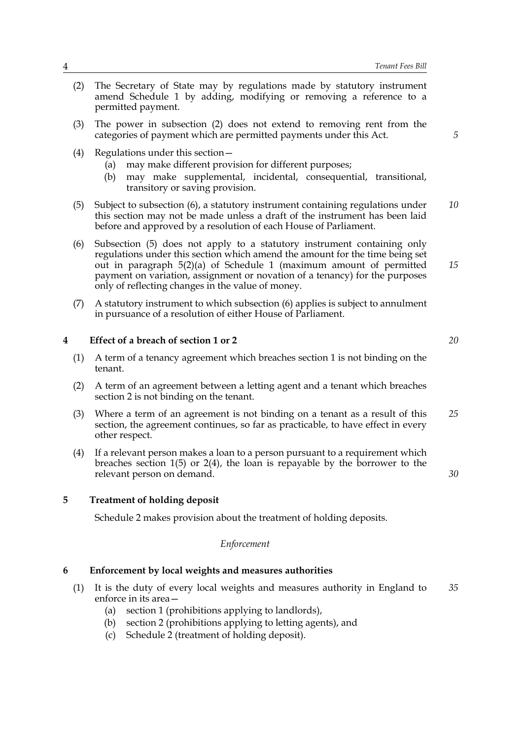- (2) The Secretary of State may by regulations made by statutory instrument amend Schedule 1 by adding, modifying or removing a reference to a permitted payment.
- (3) The power in subsection (2) does not extend to removing rent from the categories of payment which are permitted payments under this Act.
- (4) Regulations under this section—
	- (a) may make different provision for different purposes;
	- (b) may make supplemental, incidental, consequential, transitional, transitory or saving provision.
- (5) Subject to subsection (6), a statutory instrument containing regulations under this section may not be made unless a draft of the instrument has been laid before and approved by a resolution of each House of Parliament. *10*
- (6) Subsection (5) does not apply to a statutory instrument containing only regulations under this section which amend the amount for the time being set out in paragraph 5(2)(a) of Schedule 1 (maximum amount of permitted payment on variation, assignment or novation of a tenancy) for the purposes only of reflecting changes in the value of money. *15*
- (7) A statutory instrument to which subsection (6) applies is subject to annulment in pursuance of a resolution of either House of Parliament.

#### **4 Effect of a breach of section 1 or 2**

- (1) A term of a tenancy agreement which breaches section 1 is not binding on the tenant.
- (2) A term of an agreement between a letting agent and a tenant which breaches section 2 is not binding on the tenant.
- (3) Where a term of an agreement is not binding on a tenant as a result of this section, the agreement continues, so far as practicable, to have effect in every other respect. *25*
- (4) If a relevant person makes a loan to a person pursuant to a requirement which breaches section 1(5) or 2(4), the loan is repayable by the borrower to the relevant person on demand.

#### **5 Treatment of holding deposit**

Schedule 2 makes provision about the treatment of holding deposits.

#### *Enforcement*

#### **6 Enforcement by local weights and measures authorities**

- (1) It is the duty of every local weights and measures authority in England to enforce in its area— *35*
	- (a) section 1 (prohibitions applying to landlords),
	- (b) section 2 (prohibitions applying to letting agents), and
	- (c) Schedule 2 (treatment of holding deposit).

*20*

*30*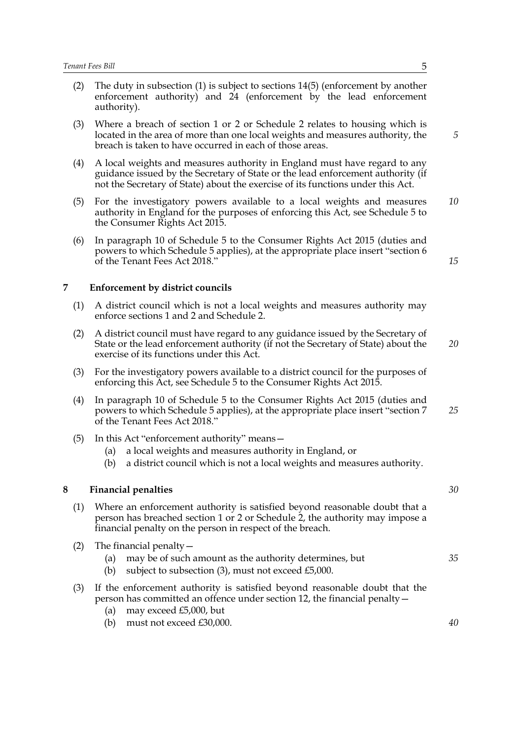- (2) The duty in subsection (1) is subject to sections 14(5) (enforcement by another enforcement authority) and 24 (enforcement by the lead enforcement authority).
- (3) Where a breach of section 1 or 2 or Schedule 2 relates to housing which is located in the area of more than one local weights and measures authority, the breach is taken to have occurred in each of those areas.
- (4) A local weights and measures authority in England must have regard to any guidance issued by the Secretary of State or the lead enforcement authority (if not the Secretary of State) about the exercise of its functions under this Act.
- (5) For the investigatory powers available to a local weights and measures authority in England for the purposes of enforcing this Act, see Schedule 5 to the Consumer Rights Act 2015. *10*
- (6) In paragraph 10 of Schedule 5 to the Consumer Rights Act 2015 (duties and powers to which Schedule 5 applies), at the appropriate place insert "section 6 of the Tenant Fees Act 2018."

#### **7 Enforcement by district councils**

- (1) A district council which is not a local weights and measures authority may enforce sections 1 and 2 and Schedule 2.
- (2) A district council must have regard to any guidance issued by the Secretary of State or the lead enforcement authority (if not the Secretary of State) about the exercise of its functions under this Act. *20*
- (3) For the investigatory powers available to a district council for the purposes of enforcing this Act, see Schedule 5 to the Consumer Rights Act 2015.
- (4) In paragraph 10 of Schedule 5 to the Consumer Rights Act 2015 (duties and powers to which Schedule 5 applies), at the appropriate place insert "section 7 of the Tenant Fees Act 2018." *25*
- (5) In this Act "enforcement authority" means—
	- (a) a local weights and measures authority in England, or
	- (b) a district council which is not a local weights and measures authority.

#### **8 Financial penalties**

- (1) Where an enforcement authority is satisfied beyond reasonable doubt that a person has breached section 1 or 2 or Schedule 2, the authority may impose a financial penalty on the person in respect of the breach.
- (2) The financial penalty  $-$ 
	- (a) may be of such amount as the authority determines, but
	- (b) subject to subsection (3), must not exceed £5,000.
- (3) If the enforcement authority is satisfied beyond reasonable doubt that the person has committed an offence under section 12, the financial penalty—
	- (a) may exceed £5,000, but
	- (b) must not exceed £30,000.

*5*

*15*

*35*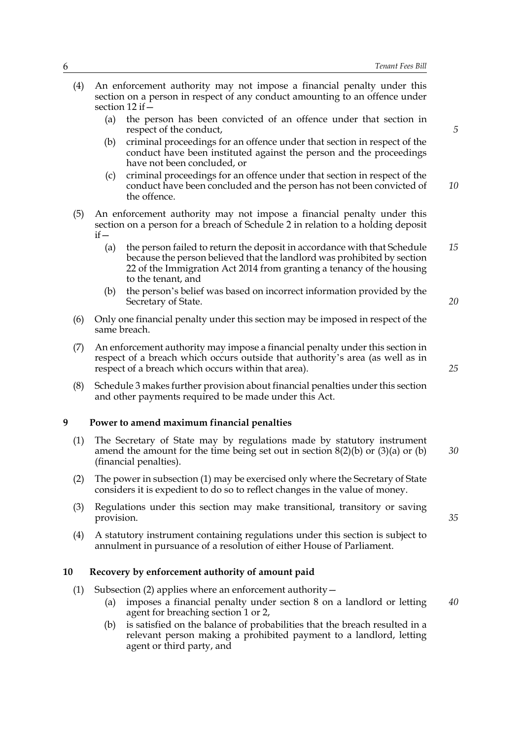(4) An enforcement authority may not impose a financial penalty under this section on a person in respect of any conduct amounting to an offence under section 12 if— (a) the person has been convicted of an offence under that section in respect of the conduct, (b) criminal proceedings for an offence under that section in respect of the conduct have been instituted against the person and the proceedings have not been concluded, or (c) criminal proceedings for an offence under that section in respect of the conduct have been concluded and the person has not been convicted of the offence. (5) An enforcement authority may not impose a financial penalty under this section on a person for a breach of Schedule 2 in relation to a holding deposit  $if -$ (a) the person failed to return the deposit in accordance with that Schedule because the person believed that the landlord was prohibited by section 22 of the Immigration Act 2014 from granting a tenancy of the housing to the tenant, and (b) the person's belief was based on incorrect information provided by the Secretary of State. (6) Only one financial penalty under this section may be imposed in respect of the same breach. (7) An enforcement authority may impose a financial penalty under this section in respect of a breach which occurs outside that authority's area (as well as in respect of a breach which occurs within that area). (8) Schedule 3 makes further provision about financial penalties under this section and other payments required to be made under this Act. *5 10 15 20 25*

#### **9 Power to amend maximum financial penalties**

- (1) The Secretary of State may by regulations made by statutory instrument amend the amount for the time being set out in section  $8(2)(b)$  or  $(3)(a)$  or  $(b)$ (financial penalties). *30*
- (2) The power in subsection (1) may be exercised only where the Secretary of State considers it is expedient to do so to reflect changes in the value of money.
- (3) Regulations under this section may make transitional, transitory or saving provision.
- (4) A statutory instrument containing regulations under this section is subject to annulment in pursuance of a resolution of either House of Parliament.

#### **10 Recovery by enforcement authority of amount paid**

- (1) Subsection (2) applies where an enforcement authority—
	- (a) imposes a financial penalty under section 8 on a landlord or letting agent for breaching section 1 or 2, *40*
	- (b) is satisfied on the balance of probabilities that the breach resulted in a relevant person making a prohibited payment to a landlord, letting agent or third party, and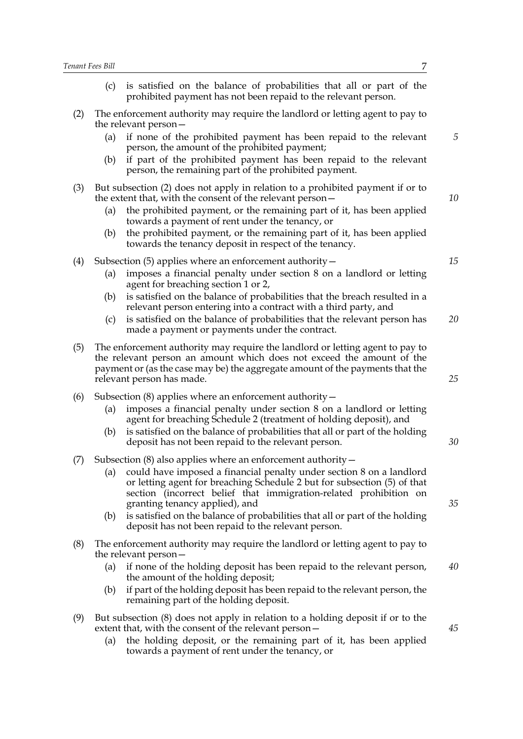|     | (c)                                                                                                                                                                                                                                                                  | is satisfied on the balance of probabilities that all or part of the<br>prohibited payment has not been repaid to the relevant person.                                                                                                                                                                                                                                                                                                                         |    |
|-----|----------------------------------------------------------------------------------------------------------------------------------------------------------------------------------------------------------------------------------------------------------------------|----------------------------------------------------------------------------------------------------------------------------------------------------------------------------------------------------------------------------------------------------------------------------------------------------------------------------------------------------------------------------------------------------------------------------------------------------------------|----|
| (2) | (a)                                                                                                                                                                                                                                                                  | The enforcement authority may require the landlord or letting agent to pay to<br>the relevant person-<br>if none of the prohibited payment has been repaid to the relevant                                                                                                                                                                                                                                                                                     | 5  |
|     | (b)                                                                                                                                                                                                                                                                  | person, the amount of the prohibited payment;<br>if part of the prohibited payment has been repaid to the relevant<br>person, the remaining part of the prohibited payment.                                                                                                                                                                                                                                                                                    |    |
| (3) | (a)<br>(b)                                                                                                                                                                                                                                                           | But subsection (2) does not apply in relation to a prohibited payment if or to<br>the extent that, with the consent of the relevant person -<br>the prohibited payment, or the remaining part of it, has been applied<br>towards a payment of rent under the tenancy, or<br>the prohibited payment, or the remaining part of it, has been applied                                                                                                              | 10 |
|     |                                                                                                                                                                                                                                                                      | towards the tenancy deposit in respect of the tenancy.                                                                                                                                                                                                                                                                                                                                                                                                         |    |
| (4) | (a)                                                                                                                                                                                                                                                                  | Subsection $(5)$ applies where an enforcement authority $-$<br>imposes a financial penalty under section 8 on a landlord or letting<br>agent for breaching section 1 or 2,                                                                                                                                                                                                                                                                                     | 15 |
|     | (b)                                                                                                                                                                                                                                                                  | is satisfied on the balance of probabilities that the breach resulted in a<br>relevant person entering into a contract with a third party, and                                                                                                                                                                                                                                                                                                                 |    |
|     | (c)                                                                                                                                                                                                                                                                  | is satisfied on the balance of probabilities that the relevant person has<br>made a payment or payments under the contract.                                                                                                                                                                                                                                                                                                                                    | 20 |
| (5) | The enforcement authority may require the landlord or letting agent to pay to<br>the relevant person an amount which does not exceed the amount of the<br>payment or (as the case may be) the aggregate amount of the payments that the<br>relevant person has made. |                                                                                                                                                                                                                                                                                                                                                                                                                                                                |    |
| (6) | (a)<br>(b)                                                                                                                                                                                                                                                           | Subsection $(8)$ applies where an enforcement authority $-$<br>imposes a financial penalty under section 8 on a landlord or letting<br>agent for breaching Schedule 2 (treatment of holding deposit), and<br>is satisfied on the balance of probabilities that all or part of the holding<br>deposit has not been repaid to the relevant person.                                                                                                               | 30 |
| (7) | (a)<br>(b)                                                                                                                                                                                                                                                           | Subsection (8) also applies where an enforcement authority -<br>could have imposed a financial penalty under section 8 on a landlord<br>or letting agent for breaching Schedule 2 but for subsection (5) of that<br>section (incorrect belief that immigration-related prohibition on<br>granting tenancy applied), and<br>is satisfied on the balance of probabilities that all or part of the holding<br>deposit has not been repaid to the relevant person. | 35 |
| (8) |                                                                                                                                                                                                                                                                      | The enforcement authority may require the landlord or letting agent to pay to<br>the relevant person-                                                                                                                                                                                                                                                                                                                                                          |    |
|     | (a)                                                                                                                                                                                                                                                                  | if none of the holding deposit has been repaid to the relevant person,<br>the amount of the holding deposit;                                                                                                                                                                                                                                                                                                                                                   | 40 |
|     | (b)                                                                                                                                                                                                                                                                  | if part of the holding deposit has been repaid to the relevant person, the<br>remaining part of the holding deposit.                                                                                                                                                                                                                                                                                                                                           |    |
| (9) | (a)                                                                                                                                                                                                                                                                  | But subsection (8) does not apply in relation to a holding deposit if or to the<br>extent that, with the consent of the relevant person-<br>the holding deposit, or the remaining part of it, has been applied<br>towards a payment of rent under the tenancy, or                                                                                                                                                                                              | 45 |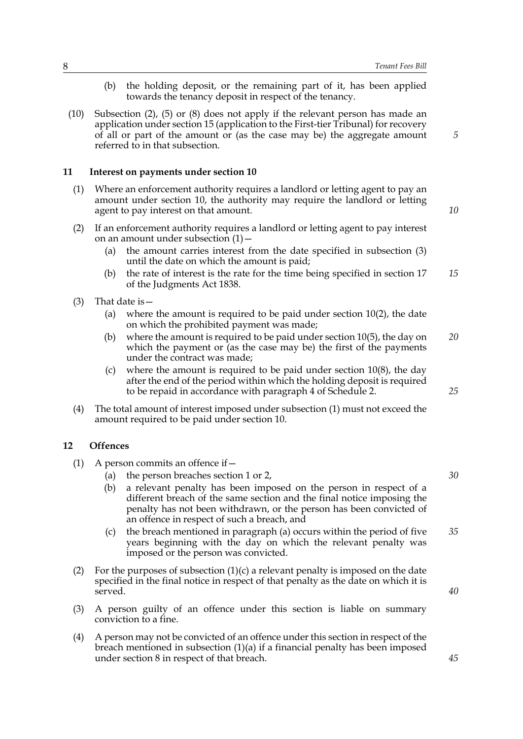- (b) the holding deposit, or the remaining part of it, has been applied towards the tenancy deposit in respect of the tenancy.
- (10) Subsection (2), (5) or (8) does not apply if the relevant person has made an application under section 15 (application to the First-tier Tribunal) for recovery of all or part of the amount or (as the case may be) the aggregate amount referred to in that subsection.

#### **11 Interest on payments under section 10**

- (1) Where an enforcement authority requires a landlord or letting agent to pay an amount under section 10, the authority may require the landlord or letting agent to pay interest on that amount.
- (2) If an enforcement authority requires a landlord or letting agent to pay interest on an amount under subsection  $(1)$  –
	- (a) the amount carries interest from the date specified in subsection (3) until the date on which the amount is paid;
	- (b) the rate of interest is the rate for the time being specified in section 17 of the Judgments Act 1838. *15*
- (3) That date is  $-$ 
	- (a) where the amount is required to be paid under section 10(2), the date on which the prohibited payment was made;
	- (b) where the amount is required to be paid under section 10(5), the day on which the payment or (as the case may be) the first of the payments under the contract was made; *20*
	- (c) where the amount is required to be paid under section  $10(8)$ , the day after the end of the period within which the holding deposit is required to be repaid in accordance with paragraph 4 of Schedule 2.
- (4) The total amount of interest imposed under subsection (1) must not exceed the amount required to be paid under section 10.

#### **12 Offences**

- (1) A person commits an offence if  $-$ 
	- (a) the person breaches section 1 or 2,
	- (b) a relevant penalty has been imposed on the person in respect of a different breach of the same section and the final notice imposing the penalty has not been withdrawn, or the person has been convicted of an offence in respect of such a breach, and
	- (c) the breach mentioned in paragraph (a) occurs within the period of five years beginning with the day on which the relevant penalty was imposed or the person was convicted. *35*
- (2) For the purposes of subsection  $(1)(c)$  a relevant penalty is imposed on the date specified in the final notice in respect of that penalty as the date on which it is served.
- (3) A person guilty of an offence under this section is liable on summary conviction to a fine.
- (4) A person may not be convicted of an offence under this section in respect of the breach mentioned in subsection  $(1)(a)$  if a financial penalty has been imposed under section 8 in respect of that breach.

*10*

*5*

*25*

*30*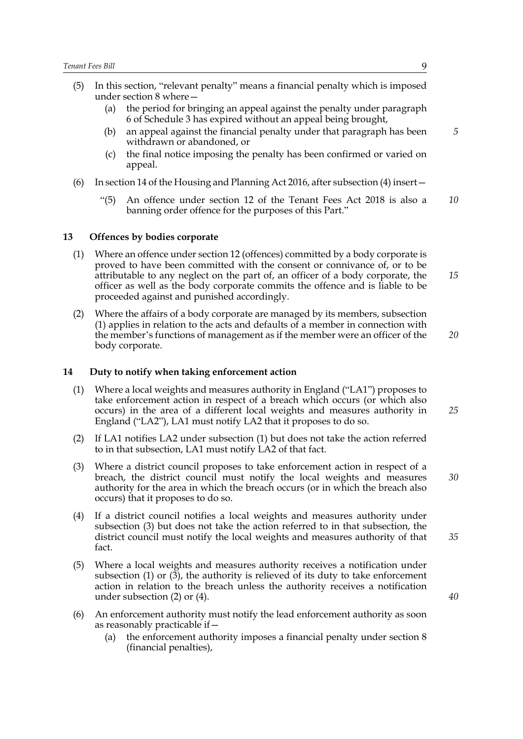- (5) In this section, "relevant penalty" means a financial penalty which is imposed under section 8 where—
	- (a) the period for bringing an appeal against the penalty under paragraph 6 of Schedule 3 has expired without an appeal being brought,
	- (b) an appeal against the financial penalty under that paragraph has been withdrawn or abandoned, or
	- (c) the final notice imposing the penalty has been confirmed or varied on appeal.
- (6) In section 14 of the Housing and Planning Act 2016, after subsection (4) insert—
	- "(5) An offence under section 12 of the Tenant Fees Act 2018 is also a banning order offence for the purposes of this Part." *10*

#### **13 Offences by bodies corporate**

- (1) Where an offence under section 12 (offences) committed by a body corporate is proved to have been committed with the consent or connivance of, or to be attributable to any neglect on the part of, an officer of a body corporate, the officer as well as the body corporate commits the offence and is liable to be proceeded against and punished accordingly.
- (2) Where the affairs of a body corporate are managed by its members, subsection (1) applies in relation to the acts and defaults of a member in connection with the member's functions of management as if the member were an officer of the body corporate. *20*

#### **14 Duty to notify when taking enforcement action**

- (1) Where a local weights and measures authority in England ("LA1") proposes to take enforcement action in respect of a breach which occurs (or which also occurs) in the area of a different local weights and measures authority in England ("LA2"), LA1 must notify LA2 that it proposes to do so.
- (2) If LA1 notifies LA2 under subsection (1) but does not take the action referred to in that subsection, LA1 must notify LA2 of that fact.
- (3) Where a district council proposes to take enforcement action in respect of a breach, the district council must notify the local weights and measures authority for the area in which the breach occurs (or in which the breach also occurs) that it proposes to do so.
- (4) If a district council notifies a local weights and measures authority under subsection (3) but does not take the action referred to in that subsection, the district council must notify the local weights and measures authority of that fact.
- (5) Where a local weights and measures authority receives a notification under subsection (1) or (3), the authority is relieved of its duty to take enforcement action in relation to the breach unless the authority receives a notification under subsection (2) or (4).
- (6) An enforcement authority must notify the lead enforcement authority as soon as reasonably practicable if—
	- (a) the enforcement authority imposes a financial penalty under section 8 (financial penalties),

*5*

*15*

*25*

*30*

*35*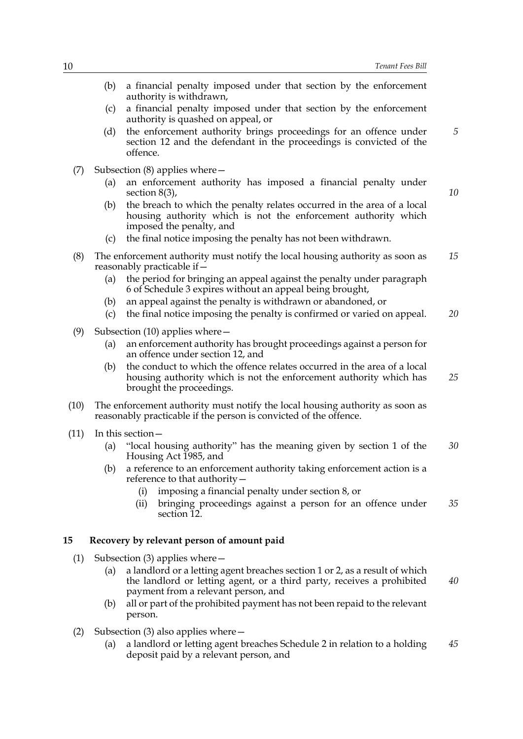|      | (b)                                                                                                         | a financial penalty imposed under that section by the enforcement<br>authority is withdrawn,                                                                                                |    |  |
|------|-------------------------------------------------------------------------------------------------------------|---------------------------------------------------------------------------------------------------------------------------------------------------------------------------------------------|----|--|
|      | (c)                                                                                                         | a financial penalty imposed under that section by the enforcement<br>authority is quashed on appeal, or                                                                                     |    |  |
|      | (d)                                                                                                         | the enforcement authority brings proceedings for an offence under<br>section 12 and the defendant in the proceedings is convicted of the<br>offence.                                        | 5  |  |
| (7)  |                                                                                                             | Subsection $(8)$ applies where $-$                                                                                                                                                          |    |  |
|      | (a)                                                                                                         | an enforcement authority has imposed a financial penalty under<br>section $8(3)$ ,                                                                                                          | 10 |  |
|      | (b)                                                                                                         | the breach to which the penalty relates occurred in the area of a local<br>housing authority which is not the enforcement authority which<br>imposed the penalty, and                       |    |  |
|      | (c)                                                                                                         | the final notice imposing the penalty has not been withdrawn.                                                                                                                               |    |  |
| (8)  | The enforcement authority must notify the local housing authority as soon as<br>reasonably practicable if – |                                                                                                                                                                                             |    |  |
|      | (a)                                                                                                         | the period for bringing an appeal against the penalty under paragraph<br>6 of Schedule 3 expires without an appeal being brought,                                                           |    |  |
|      | (b)                                                                                                         | an appeal against the penalty is withdrawn or abandoned, or                                                                                                                                 |    |  |
|      | (c)                                                                                                         | the final notice imposing the penalty is confirmed or varied on appeal.                                                                                                                     | 20 |  |
| (9)  |                                                                                                             | Subsection $(10)$ applies where $-$                                                                                                                                                         |    |  |
|      | (a)                                                                                                         | an enforcement authority has brought proceedings against a person for<br>an offence under section 12, and                                                                                   |    |  |
|      | (b)                                                                                                         | the conduct to which the offence relates occurred in the area of a local<br>housing authority which is not the enforcement authority which has<br>brought the proceedings.                  | 25 |  |
| (10) |                                                                                                             | The enforcement authority must notify the local housing authority as soon as<br>reasonably practicable if the person is convicted of the offence.                                           |    |  |
| (11) |                                                                                                             | In this section -                                                                                                                                                                           |    |  |
|      | (a)                                                                                                         | "local housing authority" has the meaning given by section 1 of the<br>Housing Act 1985, and                                                                                                | 30 |  |
|      |                                                                                                             | (b) a reference to an enforcement authority taking enforcement action is a<br>reference to that authority -                                                                                 |    |  |
|      |                                                                                                             | imposing a financial penalty under section 8, or<br>(i)                                                                                                                                     |    |  |
|      |                                                                                                             | bringing proceedings against a person for an offence under<br>(ii)<br>section 12.                                                                                                           | 35 |  |
| 15   |                                                                                                             | Recovery by relevant person of amount paid                                                                                                                                                  |    |  |
|      |                                                                                                             |                                                                                                                                                                                             |    |  |
| (1)  | (a)                                                                                                         | Subsection $(3)$ applies where $-$<br>a landlord or a letting agent breaches section 1 or 2, as a result of which<br>the landlord or letting agent, or a third party, receives a prohibited | 40 |  |
|      | (b)                                                                                                         | payment from a relevant person, and<br>all or part of the prohibited payment has not been repaid to the relevant<br>person.                                                                 |    |  |

- (2) Subsection (3) also applies where—
	- (a) a landlord or letting agent breaches Schedule 2 in relation to a holding deposit paid by a relevant person, and *45*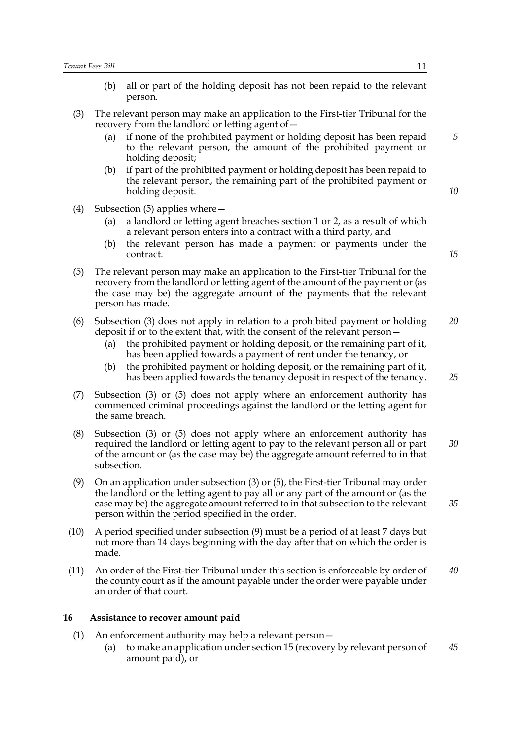- (b) all or part of the holding deposit has not been repaid to the relevant person.
- (3) The relevant person may make an application to the First-tier Tribunal for the recovery from the landlord or letting agent of—
	- (a) if none of the prohibited payment or holding deposit has been repaid to the relevant person, the amount of the prohibited payment or holding deposit;
	- (b) if part of the prohibited payment or holding deposit has been repaid to the relevant person, the remaining part of the prohibited payment or holding deposit.
- (4) Subsection (5) applies where
	- a landlord or letting agent breaches section 1 or 2, as a result of which a relevant person enters into a contract with a third party, and
	- (b) the relevant person has made a payment or payments under the contract.
- (5) The relevant person may make an application to the First-tier Tribunal for the recovery from the landlord or letting agent of the amount of the payment or (as the case may be) the aggregate amount of the payments that the relevant person has made.
- (6) Subsection (3) does not apply in relation to a prohibited payment or holding deposit if or to the extent that, with the consent of the relevant person— *20*
	- (a) the prohibited payment or holding deposit, or the remaining part of it, has been applied towards a payment of rent under the tenancy, or
	- (b) the prohibited payment or holding deposit, or the remaining part of it, has been applied towards the tenancy deposit in respect of the tenancy. *25*
- (7) Subsection (3) or (5) does not apply where an enforcement authority has commenced criminal proceedings against the landlord or the letting agent for the same breach.
- (8) Subsection (3) or (5) does not apply where an enforcement authority has required the landlord or letting agent to pay to the relevant person all or part of the amount or (as the case may be) the aggregate amount referred to in that subsection. *30*
- (9) On an application under subsection (3) or (5), the First-tier Tribunal may order the landlord or the letting agent to pay all or any part of the amount or (as the case may be) the aggregate amount referred to in that subsection to the relevant person within the period specified in the order.
- (10) A period specified under subsection (9) must be a period of at least 7 days but not more than 14 days beginning with the day after that on which the order is made.
- (11) An order of the First-tier Tribunal under this section is enforceable by order of the county court as if the amount payable under the order were payable under an order of that court. *40*

#### **16 Assistance to recover amount paid**

- (1) An enforcement authority may help a relevant person—
	- (a) to make an application under section 15 (recovery by relevant person of amount paid), or *45*

*5*

*10*

*15*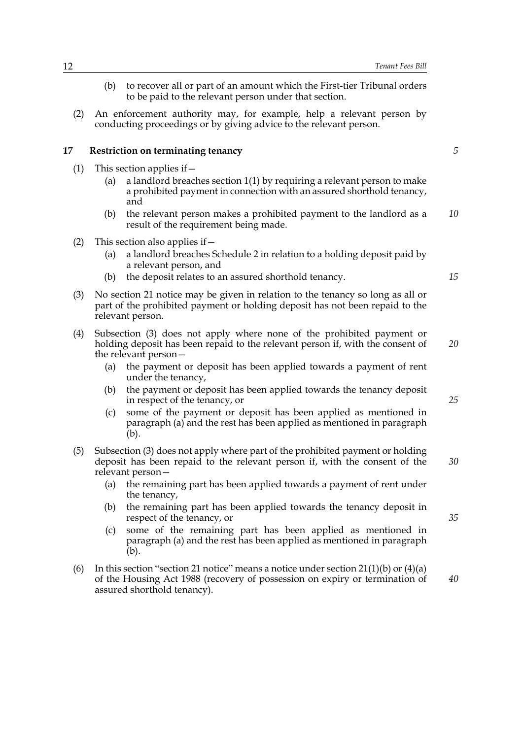- (b) to recover all or part of an amount which the First-tier Tribunal orders to be paid to the relevant person under that section.
- (2) An enforcement authority may, for example, help a relevant person by conducting proceedings or by giving advice to the relevant person.

#### **17 Restriction on terminating tenancy**

- (1) This section applies if  $-$ 
	- (a) a landlord breaches section 1(1) by requiring a relevant person to make a prohibited payment in connection with an assured shorthold tenancy, and
	- (b) the relevant person makes a prohibited payment to the landlord as a result of the requirement being made. *10*
- (2) This section also applies if—
	- (a) a landlord breaches Schedule 2 in relation to a holding deposit paid by a relevant person, and
	- (b) the deposit relates to an assured shorthold tenancy.
- (3) No section 21 notice may be given in relation to the tenancy so long as all or part of the prohibited payment or holding deposit has not been repaid to the relevant person.
- (4) Subsection (3) does not apply where none of the prohibited payment or holding deposit has been repaid to the relevant person if, with the consent of the relevant person— *20*
	- (a) the payment or deposit has been applied towards a payment of rent under the tenancy,
	- (b) the payment or deposit has been applied towards the tenancy deposit in respect of the tenancy, or
	- (c) some of the payment or deposit has been applied as mentioned in paragraph (a) and the rest has been applied as mentioned in paragraph (b).
- (5) Subsection (3) does not apply where part of the prohibited payment or holding deposit has been repaid to the relevant person if, with the consent of the relevant person—
	- (a) the remaining part has been applied towards a payment of rent under the tenancy,
	- (b) the remaining part has been applied towards the tenancy deposit in respect of the tenancy, or
	- (c) some of the remaining part has been applied as mentioned in paragraph (a) and the rest has been applied as mentioned in paragraph (b).
- (6) In this section "section 21 notice" means a notice under section 21(1)(b) or (4)(a) of the Housing Act 1988 (recovery of possession on expiry or termination of assured shorthold tenancy).

*5*

*25*

*30*

*15*

*35*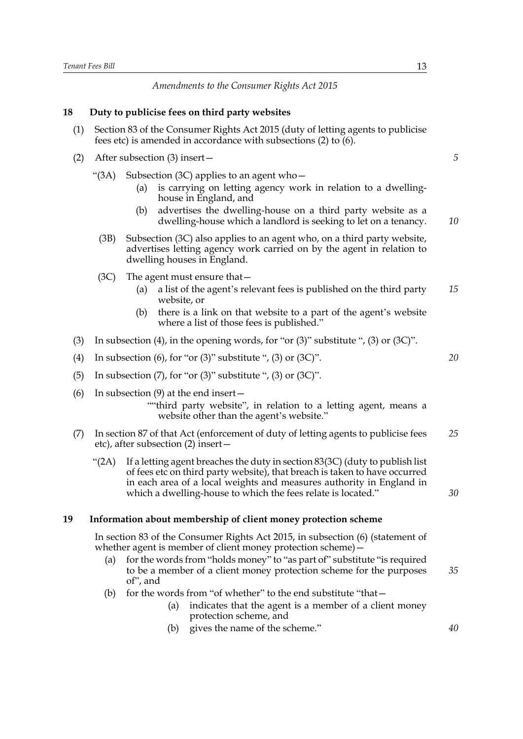#### *Amendments to the Consumer Rights Act 2015*

#### **18 Duty to publicise fees on third party websites**

- (1) Section 83 of the Consumer Rights Act 2015 (duty of letting agents to publicise fees etc) is amended in accordance with subsections (2) to (6).
- (2) After subsection (3) insert—
	- "(3A) Subsection (3C) applies to an agent who  $-$ 
		- (a) is carrying on letting agency work in relation to a dwellinghouse in England, and
		- (b) advertises the dwelling-house on a third party website as a dwelling-house which a landlord is seeking to let on a tenancy.
		- (3B) Subsection (3C) also applies to an agent who, on a third party website, advertises letting agency work carried on by the agent in relation to dwelling houses in England.
	- (3C) The agent must ensure that—
		- (a) a list of the agent's relevant fees is published on the third party website, or *15*
		- (b) there is a link on that website to a part of the agent's website where a list of those fees is published."
- (3) In subsection (4), in the opening words, for "or (3)" substitute ", (3) or (3C)".
- (4) In subsection (6), for "or  $(3)$ " substitute ",  $(3)$  or  $(3C)$ ".
- (5) In subsection  $(7)$ , for "or  $(3)$ " substitute ",  $(3)$  or  $(3C)$ ".
- (6) In subsection (9) at the end insert—
	- ""third party website", in relation to a letting agent, means a website other than the agent's website."
- (7) In section 87 of that Act (enforcement of duty of letting agents to publicise fees etc), after subsection (2) insert— *25*
	- "(2A) If a letting agent breaches the duty in section  $83(3C)$  (duty to publish list) of fees etc on third party website), that breach is taken to have occurred in each area of a local weights and measures authority in England in which a dwelling-house to which the fees relate is located."

#### **19 Information about membership of client money protection scheme**

In section 83 of the Consumer Rights Act 2015, in subsection (6) (statement of whether agent is member of client money protection scheme) -

- (a) for the words from "holds money" to "as part of" substitute "is required to be a member of a client money protection scheme for the purposes of", and *35*
- (b) for the words from "of whether" to the end substitute "that-
	- (a) indicates that the agent is a member of a client money protection scheme, and
	- (b) gives the name of the scheme." *40*

*20*

*5*

*10*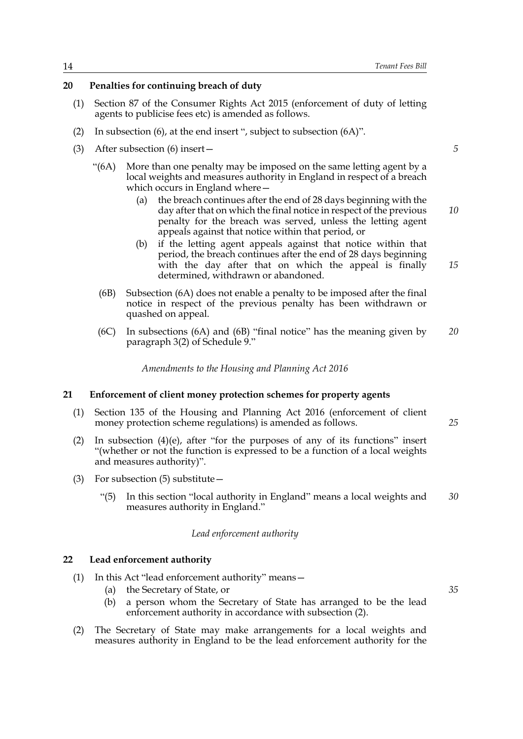#### **20 Penalties for continuing breach of duty**

- (1) Section 87 of the Consumer Rights Act 2015 (enforcement of duty of letting agents to publicise fees etc) is amended as follows.
- (2) In subsection (6), at the end insert ", subject to subsection (6A)".
- (3) After subsection (6) insert—
	- "(6A) More than one penalty may be imposed on the same letting agent by a local weights and measures authority in England in respect of a breach which occurs in England where-
		- (a) the breach continues after the end of 28 days beginning with the day after that on which the final notice in respect of the previous penalty for the breach was served, unless the letting agent appeals against that notice within that period, or *10*
		- (b) if the letting agent appeals against that notice within that period, the breach continues after the end of 28 days beginning with the day after that on which the appeal is finally determined, withdrawn or abandoned. *15*
		- (6B) Subsection (6A) does not enable a penalty to be imposed after the final notice in respect of the previous penalty has been withdrawn or quashed on appeal.
		- (6C) In subsections (6A) and (6B) "final notice" has the meaning given by paragraph 3(2) of Schedule 9." *20*

*Amendments to the Housing and Planning Act 2016*

#### **21 Enforcement of client money protection schemes for property agents**

- (1) Section 135 of the Housing and Planning Act 2016 (enforcement of client money protection scheme regulations) is amended as follows.
- (2) In subsection (4)(e), after "for the purposes of any of its functions" insert "(whether or not the function is expressed to be a function of a local weights and measures authority)".
- (3) For subsection (5) substitute—
	- "(5) In this section "local authority in England" means a local weights and measures authority in England." *30*

*Lead enforcement authority*

#### **22 Lead enforcement authority**

- (1) In this Act "lead enforcement authority" means—
	- (a) the Secretary of State, or
	- (b) a person whom the Secretary of State has arranged to be the lead enforcement authority in accordance with subsection (2).
- (2) The Secretary of State may make arrangements for a local weights and measures authority in England to be the lead enforcement authority for the

*5*

*25*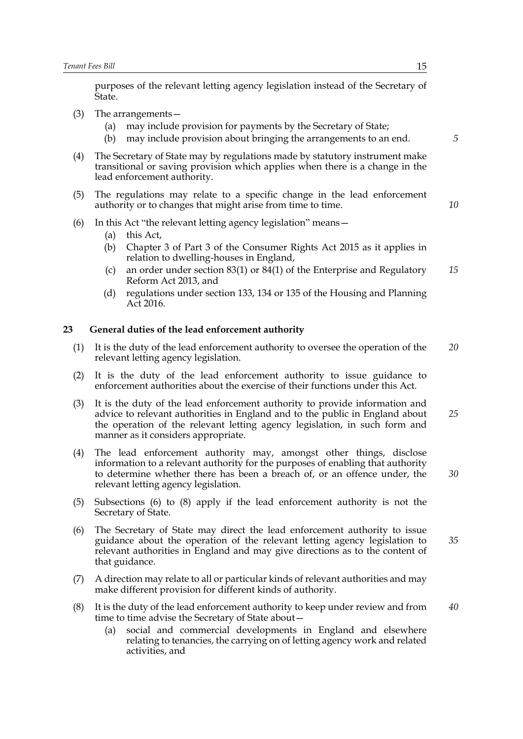purposes of the relevant letting agency legislation instead of the Secretary of State.

- (3) The arrangements—
	- (a) may include provision for payments by the Secretary of State;
	- (b) may include provision about bringing the arrangements to an end.
- (4) The Secretary of State may by regulations made by statutory instrument make transitional or saving provision which applies when there is a change in the lead enforcement authority.
- (5) The regulations may relate to a specific change in the lead enforcement authority or to changes that might arise from time to time.
- (6) In this Act "the relevant letting agency legislation" means—
	- (a) this Act,
	- (b) Chapter 3 of Part 3 of the Consumer Rights Act 2015 as it applies in relation to dwelling-houses in England,
	- (c) an order under section 83(1) or 84(1) of the Enterprise and Regulatory Reform Act 2013, and *15*
	- (d) regulations under section 133, 134 or 135 of the Housing and Planning Act 2016.

#### **23 General duties of the lead enforcement authority**

- (1) It is the duty of the lead enforcement authority to oversee the operation of the relevant letting agency legislation. *20*
- (2) It is the duty of the lead enforcement authority to issue guidance to enforcement authorities about the exercise of their functions under this Act.
- (3) It is the duty of the lead enforcement authority to provide information and advice to relevant authorities in England and to the public in England about the operation of the relevant letting agency legislation, in such form and manner as it considers appropriate. *25*
- (4) The lead enforcement authority may, amongst other things, disclose information to a relevant authority for the purposes of enabling that authority to determine whether there has been a breach of, or an offence under, the relevant letting agency legislation.
- (5) Subsections (6) to (8) apply if the lead enforcement authority is not the Secretary of State.
- (6) The Secretary of State may direct the lead enforcement authority to issue guidance about the operation of the relevant letting agency legislation to relevant authorities in England and may give directions as to the content of that guidance.
- (7) A direction may relate to all or particular kinds of relevant authorities and may make different provision for different kinds of authority.
- (8) It is the duty of the lead enforcement authority to keep under review and from time to time advise the Secretary of State about— *40*
	- (a) social and commercial developments in England and elsewhere relating to tenancies, the carrying on of letting agency work and related activities, and

*5*

*10*

*35*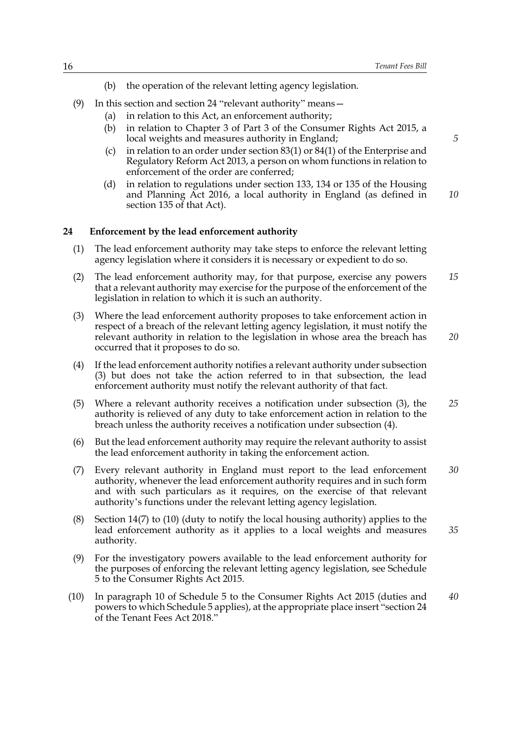- (b) the operation of the relevant letting agency legislation.
- (9) In this section and section 24 "relevant authority" means—
	- (a) in relation to this Act, an enforcement authority;
	- (b) in relation to Chapter 3 of Part 3 of the Consumer Rights Act 2015, a local weights and measures authority in England;
	- (c) in relation to an order under section 83(1) or 84(1) of the Enterprise and Regulatory Reform Act 2013, a person on whom functions in relation to enforcement of the order are conferred;
	- (d) in relation to regulations under section 133, 134 or 135 of the Housing and Planning Act 2016, a local authority in England (as defined in section 135 of that Act). *10*

#### **24 Enforcement by the lead enforcement authority**

- (1) The lead enforcement authority may take steps to enforce the relevant letting agency legislation where it considers it is necessary or expedient to do so.
- (2) The lead enforcement authority may, for that purpose, exercise any powers that a relevant authority may exercise for the purpose of the enforcement of the legislation in relation to which it is such an authority. *15*
- (3) Where the lead enforcement authority proposes to take enforcement action in respect of a breach of the relevant letting agency legislation, it must notify the relevant authority in relation to the legislation in whose area the breach has occurred that it proposes to do so.
- (4) If the lead enforcement authority notifies a relevant authority under subsection (3) but does not take the action referred to in that subsection, the lead enforcement authority must notify the relevant authority of that fact.
- (5) Where a relevant authority receives a notification under subsection (3), the authority is relieved of any duty to take enforcement action in relation to the breach unless the authority receives a notification under subsection (4). *25*
- (6) But the lead enforcement authority may require the relevant authority to assist the lead enforcement authority in taking the enforcement action.
- (7) Every relevant authority in England must report to the lead enforcement authority, whenever the lead enforcement authority requires and in such form and with such particulars as it requires, on the exercise of that relevant authority's functions under the relevant letting agency legislation. *30*
- (8) Section 14(7) to (10) (duty to notify the local housing authority) applies to the lead enforcement authority as it applies to a local weights and measures authority. *35*
- (9) For the investigatory powers available to the lead enforcement authority for the purposes of enforcing the relevant letting agency legislation, see Schedule 5 to the Consumer Rights Act 2015.
- (10) In paragraph 10 of Schedule 5 to the Consumer Rights Act 2015 (duties and powers to which Schedule 5 applies), at the appropriate place insert "section 24 of the Tenant Fees Act 2018." *40*

*5*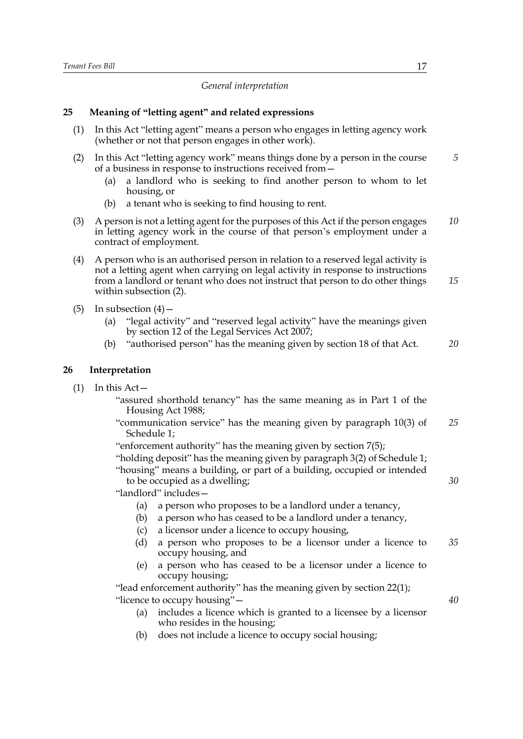#### *General interpretation*

#### **25 Meaning of "letting agent" and related expressions**

- (1) In this Act "letting agent" means a person who engages in letting agency work (whether or not that person engages in other work).
- (2) In this Act "letting agency work" means things done by a person in the course of a business in response to instructions received from—
	- (a) a landlord who is seeking to find another person to whom to let housing, or
	- (b) a tenant who is seeking to find housing to rent.
- (3) A person is not a letting agent for the purposes of this Act if the person engages in letting agency work in the course of that person's employment under a contract of employment. *10*
- (4) A person who is an authorised person in relation to a reserved legal activity is not a letting agent when carrying on legal activity in response to instructions from a landlord or tenant who does not instruct that person to do other things within subsection (2). *15*
- (5) In subsection  $(4)$ 
	- (a) "legal activity" and "reserved legal activity" have the meanings given by section 12 of the Legal Services Act 2007;
	- (b) "authorised person" has the meaning given by section 18 of that Act. *20*

#### **26 Interpretation**

- (1) In this Act—
	- "assured shorthold tenancy" has the same meaning as in Part 1 of the Housing Act 1988;
	- "communication service" has the meaning given by paragraph 10(3) of Schedule 1; *25*
	- "enforcement authority" has the meaning given by section 7(5);

"holding deposit" has the meaning given by paragraph 3(2) of Schedule 1; "housing" means a building, or part of a building, occupied or intended to be occupied as a dwelling;

"landlord" includes—

- (a) a person who proposes to be a landlord under a tenancy,
- (b) a person who has ceased to be a landlord under a tenancy,
- (c) a licensor under a licence to occupy housing,
- (d) a person who proposes to be a licensor under a licence to occupy housing, and *35*
- (e) a person who has ceased to be a licensor under a licence to occupy housing;

"lead enforcement authority" has the meaning given by section 22(1); "licence to occupy housing"—

- (a) includes a licence which is granted to a licensee by a licensor who resides in the housing;
- (b) does not include a licence to occupy social housing;

*5*

*40*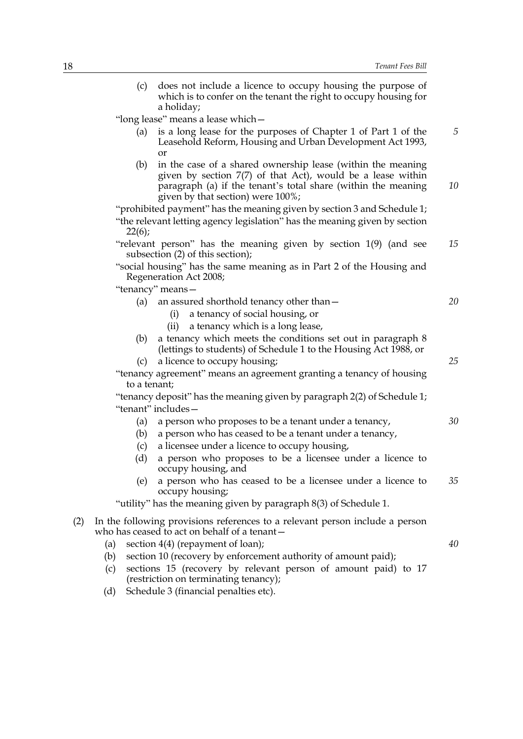|     | does not include a licence to occupy housing the purpose of<br>(c)<br>which is to confer on the tenant the right to occupy housing for<br>a holiday;                                                                                      |    |
|-----|-------------------------------------------------------------------------------------------------------------------------------------------------------------------------------------------------------------------------------------------|----|
|     | "long lease" means a lease which -                                                                                                                                                                                                        |    |
|     | is a long lease for the purposes of Chapter 1 of Part 1 of the<br>(a)<br>Leasehold Reform, Housing and Urban Development Act 1993,<br>or                                                                                                  | 5  |
|     | in the case of a shared ownership lease (within the meaning<br>(b)<br>given by section $7(7)$ of that Act), would be a lease within<br>paragraph (a) if the tenant's total share (within the meaning<br>given by that section) were 100%; | 10 |
|     | "prohibited payment" has the meaning given by section 3 and Schedule 1;                                                                                                                                                                   |    |
|     | "the relevant letting agency legislation" has the meaning given by section<br>22(6);                                                                                                                                                      |    |
|     | "relevant person" has the meaning given by section 1(9) (and see<br>subsection (2) of this section);                                                                                                                                      | 15 |
|     | "social housing" has the same meaning as in Part 2 of the Housing and<br>Regeneration Act 2008;                                                                                                                                           |    |
|     | "tenancy" means-                                                                                                                                                                                                                          |    |
|     | an assured shorthold tenancy other than -<br>(a)                                                                                                                                                                                          | 20 |
|     | a tenancy of social housing, or<br>(i)                                                                                                                                                                                                    |    |
|     | a tenancy which is a long lease,<br>(ii)                                                                                                                                                                                                  |    |
|     | a tenancy which meets the conditions set out in paragraph 8<br>(b)<br>(lettings to students) of Schedule 1 to the Housing Act 1988, or                                                                                                    |    |
|     | a licence to occupy housing;<br>(c)                                                                                                                                                                                                       | 25 |
|     | "tenancy agreement" means an agreement granting a tenancy of housing<br>to a tenant;                                                                                                                                                      |    |
|     | "tenancy deposit" has the meaning given by paragraph 2(2) of Schedule 1;<br>"tenant" includes-                                                                                                                                            |    |
|     | a person who proposes to be a tenant under a tenancy,<br>(a)                                                                                                                                                                              | 30 |
|     | (b)<br>a person who has ceased to be a tenant under a tenancy,                                                                                                                                                                            |    |
|     | a licensee under a licence to occupy housing,<br>(c)                                                                                                                                                                                      |    |
|     | (d)<br>a person who proposes to be a licensee under a licence to<br>occupy housing, and                                                                                                                                                   |    |
|     | a person who has ceased to be a licensee under a licence to<br>(e)<br>occupy housing;                                                                                                                                                     | 35 |
|     | "utility" has the meaning given by paragraph 8(3) of Schedule 1.                                                                                                                                                                          |    |
| (2) | In the following provisions references to a relevant person include a person<br>who has ceased to act on behalf of a tenant-                                                                                                              |    |
|     | section 4(4) (repayment of loan);<br>(a)                                                                                                                                                                                                  | 40 |
|     | section 10 (recovery by enforcement authority of amount paid);<br>(b)                                                                                                                                                                     |    |
|     | sections 15 (recovery by relevant person of amount paid) to 17<br>(c)<br>(restriction on terminating tenancy);                                                                                                                            |    |
|     | Schedule 3 (financial penalties etc).<br>(d)                                                                                                                                                                                              |    |
|     |                                                                                                                                                                                                                                           |    |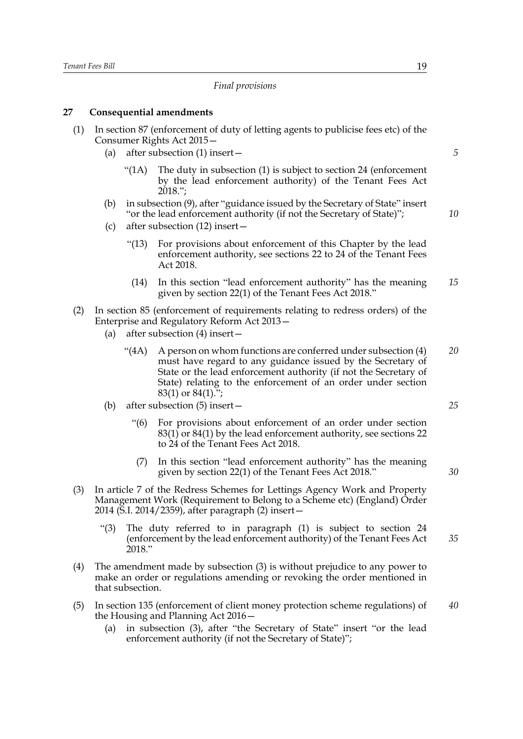#### *Final provisions*

#### **27 Consequential amendments**

|  | (1) In section 87 (enforcement of duty of letting agents to publicise fees etc) of the<br>Consumer Rights Act 2015 -                      |    |
|--|-------------------------------------------------------------------------------------------------------------------------------------------|----|
|  | (a) after subsection $(1)$ insert –                                                                                                       | .5 |
|  | " $(1A)$ The duty in subsection $(1)$ is subject to section 24 (enforcement)<br>by the lead enforcement authority) of the Tenant Fees Act |    |

- (b) in subsection (9), after "guidance issued by the Secretary of State" insert "or the lead enforcement authority (if not the Secretary of State)";
- (c) after subsection (12) insert—

 $2018$ .":

- "(13) For provisions about enforcement of this Chapter by the lead enforcement authority, see sections 22 to 24 of the Tenant Fees Act 2018.
- (14) In this section "lead enforcement authority" has the meaning given by section 22(1) of the Tenant Fees Act 2018." *15*
- (2) In section 85 (enforcement of requirements relating to redress orders) of the Enterprise and Regulatory Reform Act 2013—
	- (a) after subsection (4) insert—
		- " $(4A)$  A person on whom functions are conferred under subsection  $(4)$ must have regard to any guidance issued by the Secretary of State or the lead enforcement authority (if not the Secretary of State) relating to the enforcement of an order under section 83(1) or 84(1)."; *20*
	- (b) after subsection (5) insert—
		- "(6) For provisions about enforcement of an order under section 83(1) or 84(1) by the lead enforcement authority, see sections 22 to 24 of the Tenant Fees Act 2018.
		- (7) In this section "lead enforcement authority" has the meaning given by section 22(1) of the Tenant Fees Act 2018."
- (3) In article 7 of the Redress Schemes for Lettings Agency Work and Property Management Work (Requirement to Belong to a Scheme etc) (England) Order 2014 (S.I. 2014/2359), after paragraph (2) insert—
	- "(3) The duty referred to in paragraph (1) is subject to section 24 (enforcement by the lead enforcement authority) of the Tenant Fees Act 2018." *35*
- (4) The amendment made by subsection (3) is without prejudice to any power to make an order or regulations amending or revoking the order mentioned in that subsection.
- (5) In section 135 (enforcement of client money protection scheme regulations) of the Housing and Planning Act 2016— *40*
	- (a) in subsection (3), after "the Secretary of State" insert "or the lead enforcement authority (if not the Secretary of State)";

*25*

*30*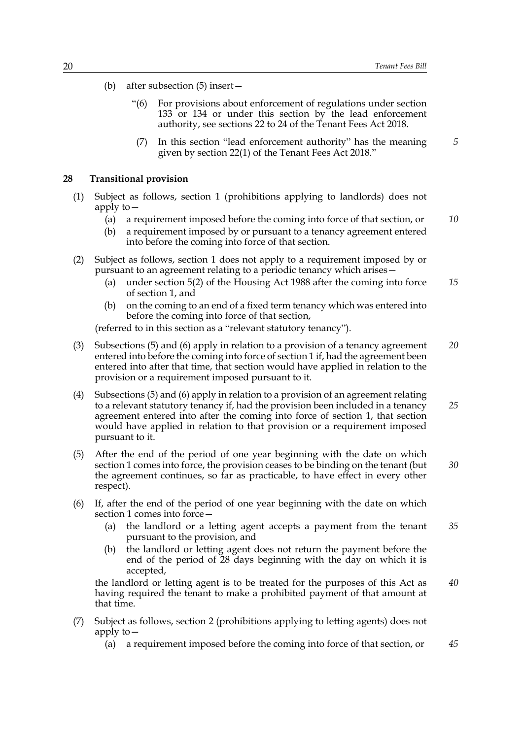- (b) after subsection (5) insert—
	- "(6) For provisions about enforcement of regulations under section 133 or 134 or under this section by the lead enforcement authority, see sections 22 to 24 of the Tenant Fees Act 2018.
	- (7) In this section "lead enforcement authority" has the meaning given by section 22(1) of the Tenant Fees Act 2018."

#### **28 Transitional provision**

- (1) Subject as follows, section 1 (prohibitions applying to landlords) does not apply to $-$ 
	- (a) a requirement imposed before the coming into force of that section, or *10*
	- (b) a requirement imposed by or pursuant to a tenancy agreement entered into before the coming into force of that section.
- (2) Subject as follows, section 1 does not apply to a requirement imposed by or pursuant to an agreement relating to a periodic tenancy which arises—
	- (a) under section 5(2) of the Housing Act 1988 after the coming into force of section 1, and *15*
	- (b) on the coming to an end of a fixed term tenancy which was entered into before the coming into force of that section,

(referred to in this section as a "relevant statutory tenancy").

- (3) Subsections (5) and (6) apply in relation to a provision of a tenancy agreement entered into before the coming into force of section 1 if, had the agreement been entered into after that time, that section would have applied in relation to the provision or a requirement imposed pursuant to it. *20*
- (4) Subsections (5) and (6) apply in relation to a provision of an agreement relating to a relevant statutory tenancy if, had the provision been included in a tenancy agreement entered into after the coming into force of section 1, that section would have applied in relation to that provision or a requirement imposed pursuant to it. *25*
- (5) After the end of the period of one year beginning with the date on which section 1 comes into force, the provision ceases to be binding on the tenant (but the agreement continues, so far as practicable, to have effect in every other respect). *30*
- (6) If, after the end of the period of one year beginning with the date on which section 1 comes into force—
	- (a) the landlord or a letting agent accepts a payment from the tenant pursuant to the provision, and *35*
	- (b) the landlord or letting agent does not return the payment before the end of the period of 28 days beginning with the day on which it is accepted,

the landlord or letting agent is to be treated for the purposes of this Act as having required the tenant to make a prohibited payment of that amount at that time. *40*

- (7) Subject as follows, section 2 (prohibitions applying to letting agents) does not apply to—
	- (a) a requirement imposed before the coming into force of that section, or *45*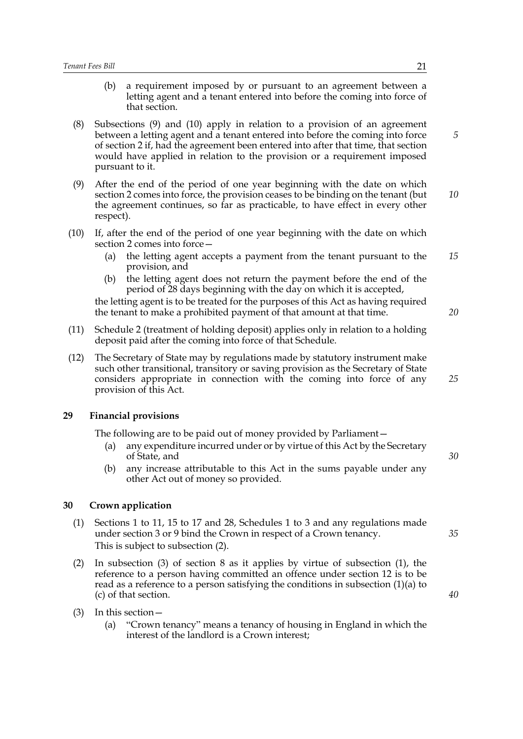- (b) a requirement imposed by or pursuant to an agreement between a letting agent and a tenant entered into before the coming into force of that section.
- (8) Subsections (9) and (10) apply in relation to a provision of an agreement between a letting agent and a tenant entered into before the coming into force of section 2 if, had the agreement been entered into after that time, that section would have applied in relation to the provision or a requirement imposed pursuant to it.
- (9) After the end of the period of one year beginning with the date on which section 2 comes into force, the provision ceases to be binding on the tenant (but the agreement continues, so far as practicable, to have effect in every other respect). *10*
- (10) If, after the end of the period of one year beginning with the date on which section 2 comes into force—
	- (a) the letting agent accepts a payment from the tenant pursuant to the provision, and *15*
	- (b) the letting agent does not return the payment before the end of the period of 28 days beginning with the day on which it is accepted,

the letting agent is to be treated for the purposes of this Act as having required the tenant to make a prohibited payment of that amount at that time.

- (11) Schedule 2 (treatment of holding deposit) applies only in relation to a holding deposit paid after the coming into force of that Schedule.
- (12) The Secretary of State may by regulations made by statutory instrument make such other transitional, transitory or saving provision as the Secretary of State considers appropriate in connection with the coming into force of any provision of this Act.

#### **29 Financial provisions**

The following are to be paid out of money provided by Parliament—

- (a) any expenditure incurred under or by virtue of this Act by the Secretary of State, and
- (b) any increase attributable to this Act in the sums payable under any other Act out of money so provided.

#### **30 Crown application**

- (1) Sections 1 to 11, 15 to 17 and 28, Schedules 1 to 3 and any regulations made under section 3 or 9 bind the Crown in respect of a Crown tenancy. This is subject to subsection (2).
- (2) In subsection (3) of section 8 as it applies by virtue of subsection (1), the reference to a person having committed an offence under section 12 is to be read as a reference to a person satisfying the conditions in subsection (1)(a) to (c) of that section.
- (3) In this section—
	- (a) "Crown tenancy" means a tenancy of housing in England in which the interest of the landlord is a Crown interest;

*5*

*20*

*25*

*30*

*35*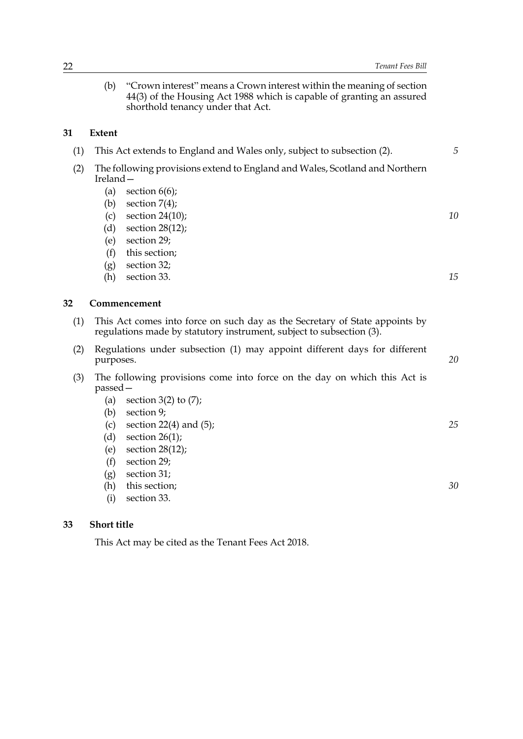(b) "Crown interest" means a Crown interest within the meaning of section 44(3) of the Housing Act 1988 which is capable of granting an assured shorthold tenancy under that Act.

#### **31 Extent**

|                                                                                            | This Act extends to England and Wales only, subject to subsection (2). |  |
|--------------------------------------------------------------------------------------------|------------------------------------------------------------------------|--|
| The following provisions extend to England and Wales, Scotland and Northern<br>Ireland $-$ |                                                                        |  |
| (a)                                                                                        | section $6(6)$ ;                                                       |  |
| (b)                                                                                        | section $7(4)$ ;                                                       |  |

- (c) section 24(10);
- (d) section 28(12);
- (e) section 29;
- (f) this section;
- (g) section 32;
- (h) section 33.

#### **32 Commencement**

- (1) This Act comes into force on such day as the Secretary of State appoints by regulations made by statutory instrument, subject to subsection (3).
- (2) Regulations under subsection (1) may appoint different days for different purposes.
- (3) The following provisions come into force on the day on which this Act is passed—
	- (a) section  $3(2)$  to  $(7)$ ;
	- (b) section 9;
	- (c) section  $22(4)$  and  $(5)$ ;
	- (d) section  $26(1)$ ;
	- (e) section 28(12);
	- (f) section 29;
	- (g) section 31;
	- (h) this section;
	- (i) section 33.

#### **33 Short title**

This Act may be cited as the Tenant Fees Act 2018.

*20*

*10*

*15*

*25*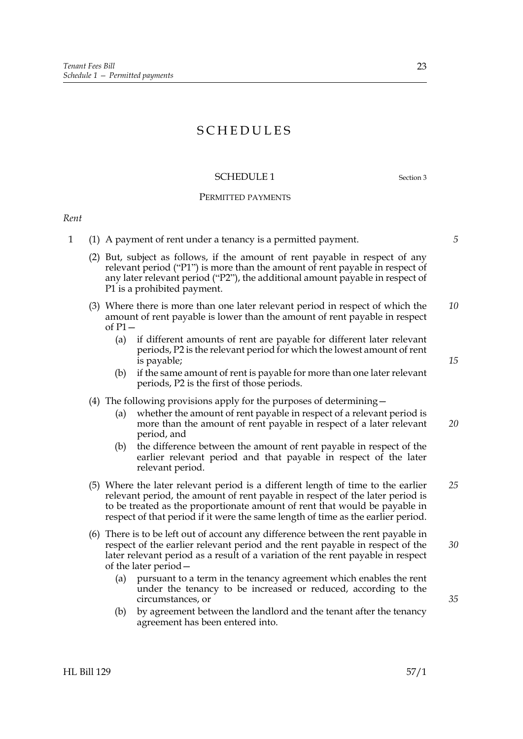## SCHEDULES

#### SCHEDULE 1 Section 3

#### PERMITTED PAYMENTS

#### *Rent*

- 1 (1) A payment of rent under a tenancy is a permitted payment.
	- (2) But, subject as follows, if the amount of rent payable in respect of any relevant period ("P1") is more than the amount of rent payable in respect of any later relevant period ("P2"), the additional amount payable in respect of P1 is a prohibited payment.
	- (3) Where there is more than one later relevant period in respect of which the amount of rent payable is lower than the amount of rent payable in respect of  $P1$  – *10*
		- (a) if different amounts of rent are payable for different later relevant periods, P2 is the relevant period for which the lowest amount of rent is payable;
		- (b) if the same amount of rent is payable for more than one later relevant periods, P2 is the first of those periods.

#### (4) The following provisions apply for the purposes of determining—

- (a) whether the amount of rent payable in respect of a relevant period is more than the amount of rent payable in respect of a later relevant period, and *20*
- (b) the difference between the amount of rent payable in respect of the earlier relevant period and that payable in respect of the later relevant period.
- (5) Where the later relevant period is a different length of time to the earlier relevant period, the amount of rent payable in respect of the later period is to be treated as the proportionate amount of rent that would be payable in respect of that period if it were the same length of time as the earlier period. *25*
- (6) There is to be left out of account any difference between the rent payable in respect of the earlier relevant period and the rent payable in respect of the later relevant period as a result of a variation of the rent payable in respect of the later period— *30*
	- (a) pursuant to a term in the tenancy agreement which enables the rent under the tenancy to be increased or reduced, according to the circumstances, or
	- (b) by agreement between the landlord and the tenant after the tenancy agreement has been entered into.

*5*

*15*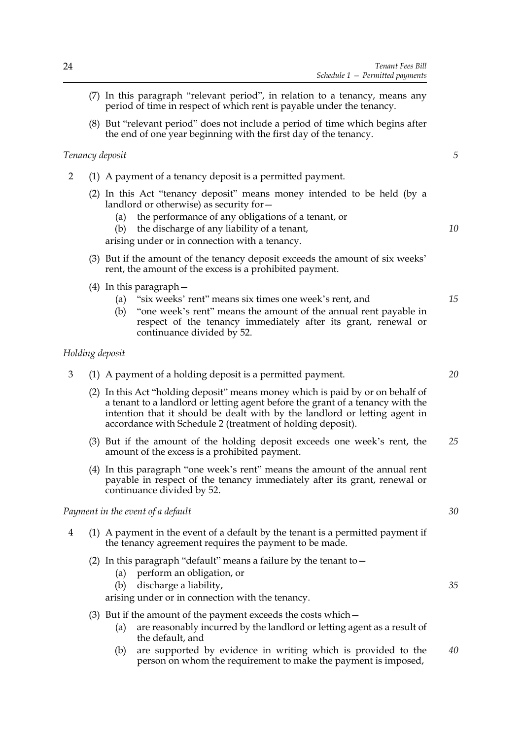- (7) In this paragraph "relevant period", in relation to a tenancy, means any period of time in respect of which rent is payable under the tenancy.
- (8) But "relevant period" does not include a period of time which begins after the end of one year beginning with the first day of the tenancy.

#### *Tenancy deposit*

- 2 (1) A payment of a tenancy deposit is a permitted payment.
	- (2) In this Act "tenancy deposit" means money intended to be held (by a landlord or otherwise) as security for—
		- (a) the performance of any obligations of a tenant, or

(b) the discharge of any liability of a tenant, arising under or in connection with a tenancy.

- (3) But if the amount of the tenancy deposit exceeds the amount of six weeks' rent, the amount of the excess is a prohibited payment.
- (4) In this paragraph—
	- (a) "six weeks' rent" means six times one week's rent, and
	- (b) "one week's rent" means the amount of the annual rent payable in respect of the tenancy immediately after its grant, renewal or continuance divided by 52.

#### *Holding deposit*

- 3 (1) A payment of a holding deposit is a permitted payment.
	- (2) In this Act "holding deposit" means money which is paid by or on behalf of a tenant to a landlord or letting agent before the grant of a tenancy with the intention that it should be dealt with by the landlord or letting agent in accordance with Schedule 2 (treatment of holding deposit).
	- (3) But if the amount of the holding deposit exceeds one week's rent, the amount of the excess is a prohibited payment. *25*
	- (4) In this paragraph "one week's rent" means the amount of the annual rent payable in respect of the tenancy immediately after its grant, renewal or continuance divided by 52.

#### *Payment in the event of a default*

- 4 (1) A payment in the event of a default by the tenant is a permitted payment if the tenancy agreement requires the payment to be made.
	- (2) In this paragraph "default" means a failure by the tenant to  $-$ 
		- (a) perform an obligation, or
		- (b) discharge a liability,

arising under or in connection with the tenancy.

- (3) But if the amount of the payment exceeds the costs which—
	- (a) are reasonably incurred by the landlord or letting agent as a result of the default, and
	- (b) are supported by evidence in writing which is provided to the person on whom the requirement to make the payment is imposed, *40*

*30*

*5*

*10*

*15*

*20*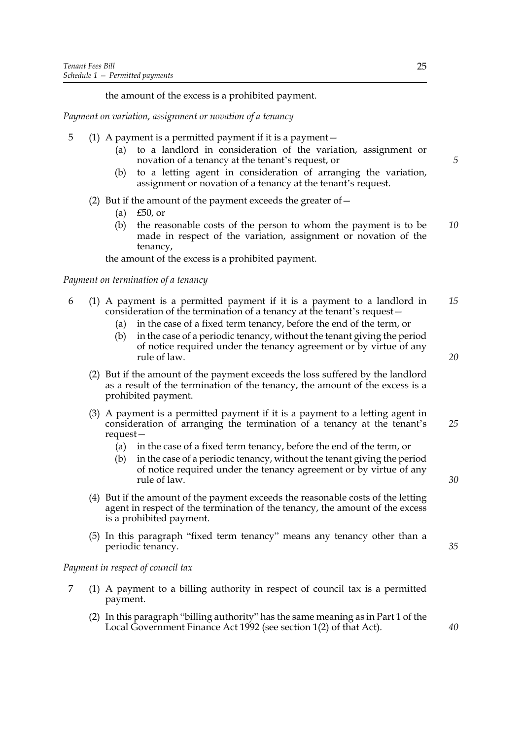the amount of the excess is a prohibited payment.

*Payment on variation, assignment or novation of a tenancy*

- 5 (1) A payment is a permitted payment if it is a payment—
	- (a) to a landlord in consideration of the variation, assignment or novation of a tenancy at the tenant's request, or
	- (b) to a letting agent in consideration of arranging the variation, assignment or novation of a tenancy at the tenant's request.
	- (2) But if the amount of the payment exceeds the greater of  $-$ 
		- (a) £50, or
		- (b) the reasonable costs of the person to whom the payment is to be made in respect of the variation, assignment or novation of the tenancy, *10*

the amount of the excess is a prohibited payment.

#### *Payment on termination of a tenancy*

- 6 (1) A payment is a permitted payment if it is a payment to a landlord in consideration of the termination of a tenancy at the tenant's request— *15*
	- (a) in the case of a fixed term tenancy, before the end of the term, or
	- (b) in the case of a periodic tenancy, without the tenant giving the period of notice required under the tenancy agreement or by virtue of any rule of law.
	- (2) But if the amount of the payment exceeds the loss suffered by the landlord as a result of the termination of the tenancy, the amount of the excess is a prohibited payment.
	- (3) A payment is a permitted payment if it is a payment to a letting agent in consideration of arranging the termination of a tenancy at the tenant's request— *25*
		- (a) in the case of a fixed term tenancy, before the end of the term, or
		- (b) in the case of a periodic tenancy, without the tenant giving the period of notice required under the tenancy agreement or by virtue of any rule of law.
	- (4) But if the amount of the payment exceeds the reasonable costs of the letting agent in respect of the termination of the tenancy, the amount of the excess is a prohibited payment.
	- (5) In this paragraph "fixed term tenancy" means any tenancy other than a periodic tenancy.

#### *Payment in respect of council tax*

- 7 (1) A payment to a billing authority in respect of council tax is a permitted payment.
	- (2) In this paragraph "billing authority" has the same meaning as in Part 1 of the Local Government Finance Act 1992 (see section 1(2) of that Act).

*20*

*5*

*40*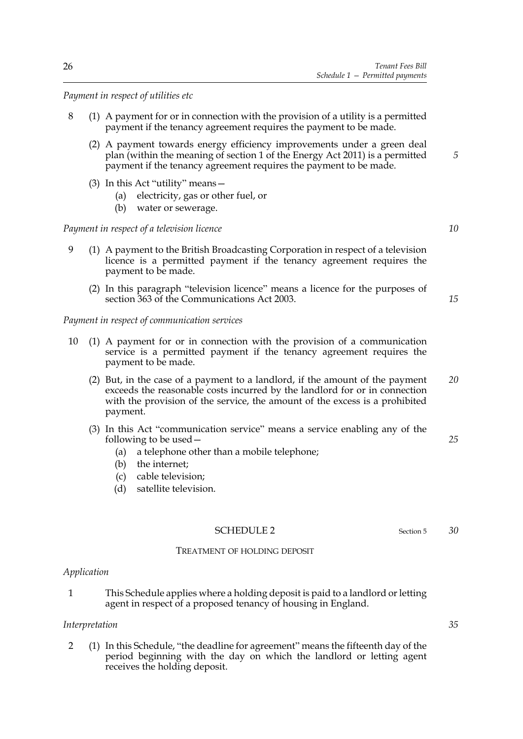*Payment in respect of utilities etc*

- 8 (1) A payment for or in connection with the provision of a utility is a permitted payment if the tenancy agreement requires the payment to be made.
	- (2) A payment towards energy efficiency improvements under a green deal plan (within the meaning of section 1 of the Energy Act 2011) is a permitted payment if the tenancy agreement requires the payment to be made.
	- (3) In this Act "utility" means—
		- (a) electricity, gas or other fuel, or
		- (b) water or sewerage.

#### *Payment in respect of a television licence*

- 9 (1) A payment to the British Broadcasting Corporation in respect of a television licence is a permitted payment if the tenancy agreement requires the payment to be made.
	- (2) In this paragraph "television licence" means a licence for the purposes of section 363 of the Communications Act 2003.

*Payment in respect of communication services*

- 10 (1) A payment for or in connection with the provision of a communication service is a permitted payment if the tenancy agreement requires the payment to be made.
	- (2) But, in the case of a payment to a landlord, if the amount of the payment exceeds the reasonable costs incurred by the landlord for or in connection with the provision of the service, the amount of the excess is a prohibited payment. *20*
	- (3) In this Act "communication service" means a service enabling any of the following to be used—
		- (a) a telephone other than a mobile telephone;
		- (b) the internet;
		- (c) cable television;
		- (d) satellite television.

#### SCHEDULE 2 Section 5

#### TREATMENT OF HOLDING DEPOSIT

#### *Application*

1 This Schedule applies where a holding deposit is paid to a landlord or letting agent in respect of a proposed tenancy of housing in England.

#### *Interpretation*

2 (1) In this Schedule, "the deadline for agreement" means the fifteenth day of the period beginning with the day on which the landlord or letting agent receives the holding deposit.

*10*

*15*

*5*

*25*

*35*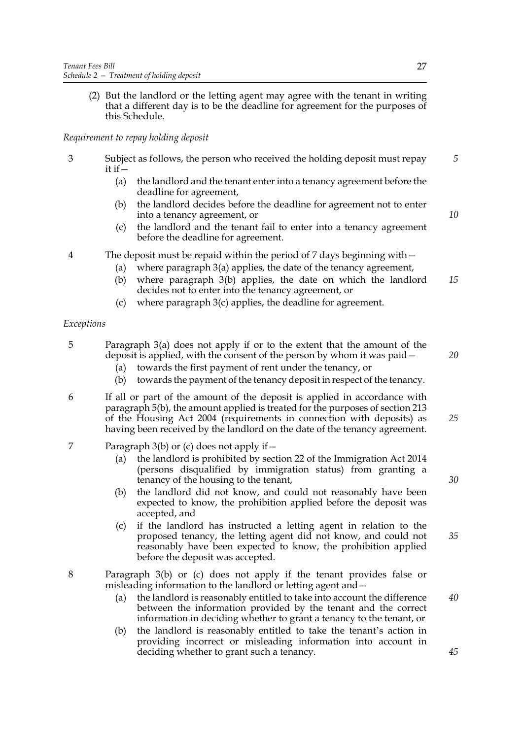(2) But the landlord or the letting agent may agree with the tenant in writing that a different day is to be the deadline for agreement for the purposes of this Schedule.

#### *Requirement to repay holding deposit*

- 3 Subject as follows, the person who received the holding deposit must repay it if  $-$ 
	- (a) the landlord and the tenant enter into a tenancy agreement before the deadline for agreement,
	- (b) the landlord decides before the deadline for agreement not to enter into a tenancy agreement, or
	- (c) the landlord and the tenant fail to enter into a tenancy agreement before the deadline for agreement.
- 4 The deposit must be repaid within the period of 7 days beginning with—
	- (a) where paragraph 3(a) applies, the date of the tenancy agreement,
	- (b) where paragraph 3(b) applies, the date on which the landlord decides not to enter into the tenancy agreement, or *15*
	- (c) where paragraph 3(c) applies, the deadline for agreement.

#### *Exceptions*

- 5 Paragraph 3(a) does not apply if or to the extent that the amount of the deposit is applied, with the consent of the person by whom it was paid—
	- (a) towards the first payment of rent under the tenancy, or
	- (b) towards the payment of the tenancy deposit in respect of the tenancy.
- 6 If all or part of the amount of the deposit is applied in accordance with paragraph 5(b), the amount applied is treated for the purposes of section 213 of the Housing Act 2004 (requirements in connection with deposits) as having been received by the landlord on the date of the tenancy agreement. *25*
- 7 Paragraph 3(b) or (c) does not apply if—
	- (a) the landlord is prohibited by section 22 of the Immigration Act 2014 (persons disqualified by immigration status) from granting a tenancy of the housing to the tenant,
	- (b) the landlord did not know, and could not reasonably have been expected to know, the prohibition applied before the deposit was accepted, and
	- (c) if the landlord has instructed a letting agent in relation to the proposed tenancy, the letting agent did not know, and could not reasonably have been expected to know, the prohibition applied before the deposit was accepted.
- 8 Paragraph 3(b) or (c) does not apply if the tenant provides false or misleading information to the landlord or letting agent and—
	- (a) the landlord is reasonably entitled to take into account the difference between the information provided by the tenant and the correct information in deciding whether to grant a tenancy to the tenant, or
	- (b) the landlord is reasonably entitled to take the tenant's action in providing incorrect or misleading information into account in deciding whether to grant such a tenancy.

*5*

*10*

*30*

*35*

*20*

*45*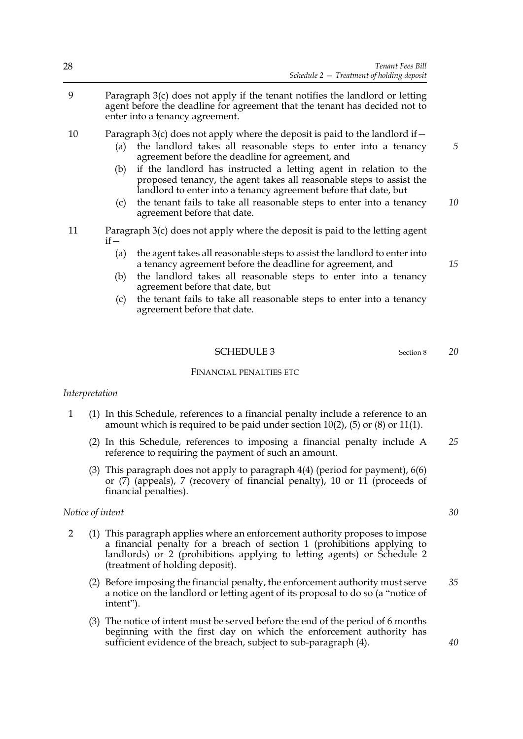9 Paragraph 3(c) does not apply if the tenant notifies the landlord or letting agent before the deadline for agreement that the tenant has decided not to enter into a tenancy agreement.

10 Paragraph 3(c) does not apply where the deposit is paid to the landlord if  $-$ 

- (a) the landlord takes all reasonable steps to enter into a tenancy agreement before the deadline for agreement, and
- (b) if the landlord has instructed a letting agent in relation to the proposed tenancy, the agent takes all reasonable steps to assist the landlord to enter into a tenancy agreement before that date, but
- (c) the tenant fails to take all reasonable steps to enter into a tenancy agreement before that date. *10*
- 11 Paragraph 3(c) does not apply where the deposit is paid to the letting agent if—
	- (a) the agent takes all reasonable steps to assist the landlord to enter into a tenancy agreement before the deadline for agreement, and
	- (b) the landlord takes all reasonable steps to enter into a tenancy agreement before that date, but
	- (c) the tenant fails to take all reasonable steps to enter into a tenancy agreement before that date.

#### SCHEDULE 3 Section 8

#### FINANCIAL PENALTIES ETC

#### *Interpretation*

- 1 (1) In this Schedule, references to a financial penalty include a reference to an amount which is required to be paid under section 10(2), (5) or (8) or 11(1).
	- (2) In this Schedule, references to imposing a financial penalty include A reference to requiring the payment of such an amount. *25*
	- (3) This paragraph does not apply to paragraph 4(4) (period for payment), 6(6) or (7) (appeals), 7 (recovery of financial penalty), 10 or 11 (proceeds of financial penalties).

#### *Notice of intent*

- 2 (1) This paragraph applies where an enforcement authority proposes to impose a financial penalty for a breach of section 1 (prohibitions applying to landlords) or 2 (prohibitions applying to letting agents) or Schedule 2 (treatment of holding deposit).
	- (2) Before imposing the financial penalty, the enforcement authority must serve a notice on the landlord or letting agent of its proposal to do so (a "notice of intent"). *35*
	- (3) The notice of intent must be served before the end of the period of 6 months beginning with the first day on which the enforcement authority has sufficient evidence of the breach, subject to sub-paragraph (4).

*15*

*5*

*20*

*30*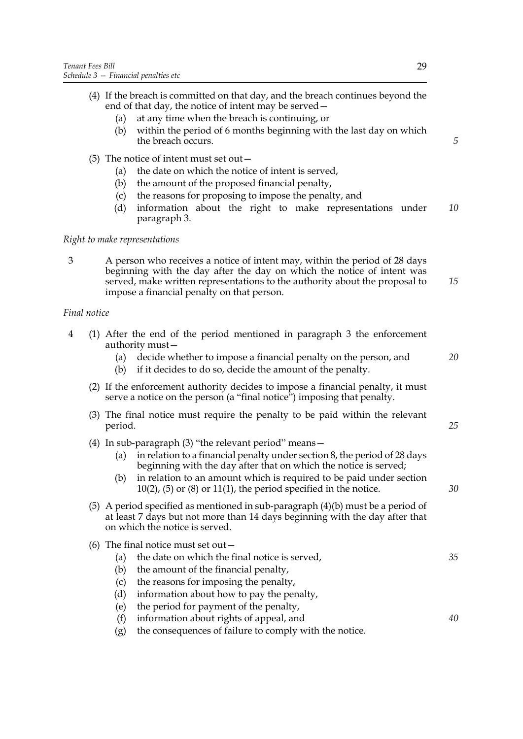- (a) at any time when the breach is continuing, or
- (b) within the period of 6 months beginning with the last day on which the breach occurs.
- (5) The notice of intent must set out—
	- (a) the date on which the notice of intent is served,
	- (b) the amount of the proposed financial penalty,
	- (c) the reasons for proposing to impose the penalty, and
	- (d) information about the right to make representations under paragraph 3. *10*

#### *Right to make representations*

3 A person who receives a notice of intent may, within the period of 28 days beginning with the day after the day on which the notice of intent was served, make written representations to the authority about the proposal to impose a financial penalty on that person. *15*

#### *Final notice*

- 4 (1) After the end of the period mentioned in paragraph 3 the enforcement authority must—
	- (a) decide whether to impose a financial penalty on the person, and
	- (b) if it decides to do so, decide the amount of the penalty.
	- (2) If the enforcement authority decides to impose a financial penalty, it must serve a notice on the person (a "final notice") imposing that penalty.
	- (3) The final notice must require the penalty to be paid within the relevant period.
	- (4) In sub-paragraph (3) "the relevant period" means—
		- (a) in relation to a financial penalty under section 8, the period of 28 days beginning with the day after that on which the notice is served;
		- (b) in relation to an amount which is required to be paid under section  $10(2)$ ,  $(5)$  or  $(8)$  or  $11(1)$ , the period specified in the notice.
	- (5) A period specified as mentioned in sub-paragraph (4)(b) must be a period of at least 7 days but not more than 14 days beginning with the day after that on which the notice is served.

|     | (6) The final notice must set out $-$         |    |  |
|-----|-----------------------------------------------|----|--|
| (a) | the date on which the final notice is served, | 35 |  |
| (b) | the amount of the financial penalty,          |    |  |
| (C) | the reasons for imposing the penalty,         |    |  |
| (d) | information about how to pay the penalty,     |    |  |
| (e) | the period for payment of the penalty,        |    |  |
|     | (f) information about rights of appeal, and   | 40 |  |

- (f) information about rights of appeal, and
- (g) the consequences of failure to comply with the notice.

*5*

*20*

*25*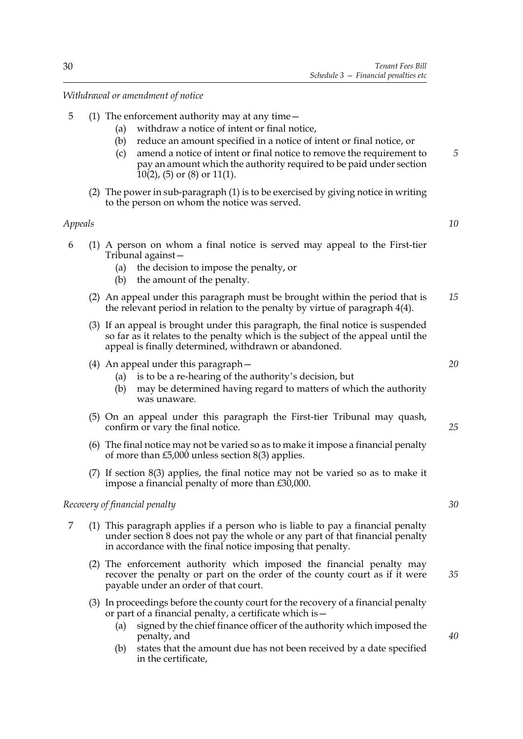*Withdrawal or amendment of notice*

- 5 (1) The enforcement authority may at any time—
	- (a) withdraw a notice of intent or final notice,
	- (b) reduce an amount specified in a notice of intent or final notice, or
	- (c) amend a notice of intent or final notice to remove the requirement to pay an amount which the authority required to be paid under section 10(2), (5) or (8) or 11(1).
	- (2) The power in sub-paragraph (1) is to be exercised by giving notice in writing to the person on whom the notice was served.

#### *Appeals*

*10*

*5*

- 6 (1) A person on whom a final notice is served may appeal to the First-tier Tribunal against—
	- (a) the decision to impose the penalty, or
	- (b) the amount of the penalty.
	- (2) An appeal under this paragraph must be brought within the period that is the relevant period in relation to the penalty by virtue of paragraph 4(4). *15*
	- (3) If an appeal is brought under this paragraph, the final notice is suspended so far as it relates to the penalty which is the subject of the appeal until the appeal is finally determined, withdrawn or abandoned.
	- (4) An appeal under this paragraph—
		- (a) is to be a re-hearing of the authority's decision, but
		- (b) may be determined having regard to matters of which the authority was unaware.
	- (5) On an appeal under this paragraph the First-tier Tribunal may quash, confirm or vary the final notice.
	- (6) The final notice may not be varied so as to make it impose a financial penalty of more than £5,000 unless section 8(3) applies.
	- (7) If section 8(3) applies, the final notice may not be varied so as to make it impose a financial penalty of more than £30,000.

#### *Recovery of financial penalty*

- 7 (1) This paragraph applies if a person who is liable to pay a financial penalty under section 8 does not pay the whole or any part of that financial penalty in accordance with the final notice imposing that penalty.
	- (2) The enforcement authority which imposed the financial penalty may recover the penalty or part on the order of the county court as if it were payable under an order of that court.
	- (3) In proceedings before the county court for the recovery of a financial penalty or part of a financial penalty, a certificate which is—
		- (a) signed by the chief finance officer of the authority which imposed the penalty, and
		- (b) states that the amount due has not been received by a date specified in the certificate,

*20*

*25*

*30*

*35*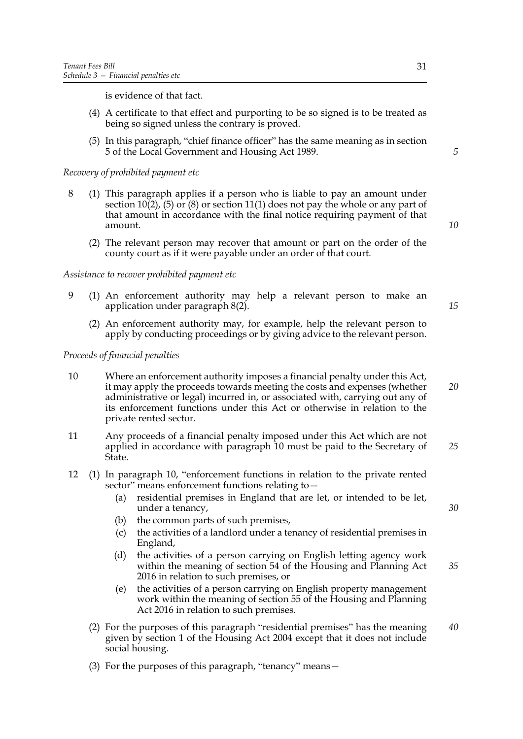is evidence of that fact.

- (4) A certificate to that effect and purporting to be so signed is to be treated as being so signed unless the contrary is proved.
- (5) In this paragraph, "chief finance officer" has the same meaning as in section 5 of the Local Government and Housing Act 1989.

#### *Recovery of prohibited payment etc*

- 8 (1) This paragraph applies if a person who is liable to pay an amount under section 10(2), (5) or (8) or section 11(1) does not pay the whole or any part of that amount in accordance with the final notice requiring payment of that amount.
	- (2) The relevant person may recover that amount or part on the order of the county court as if it were payable under an order of that court.

#### *Assistance to recover prohibited payment etc*

- 9 (1) An enforcement authority may help a relevant person to make an application under paragraph 8(2).
	- (2) An enforcement authority may, for example, help the relevant person to apply by conducting proceedings or by giving advice to the relevant person.

#### *Proceeds of financial penalties*

- 10 Where an enforcement authority imposes a financial penalty under this Act, it may apply the proceeds towards meeting the costs and expenses (whether administrative or legal) incurred in, or associated with, carrying out any of its enforcement functions under this Act or otherwise in relation to the private rented sector. *20*
- 11 Any proceeds of a financial penalty imposed under this Act which are not applied in accordance with paragraph 10 must be paid to the Secretary of State. *25*
- 12 (1) In paragraph 10, "enforcement functions in relation to the private rented sector" means enforcement functions relating to—
	- (a) residential premises in England that are let, or intended to be let, under a tenancy,
	- (b) the common parts of such premises,
	- (c) the activities of a landlord under a tenancy of residential premises in England,
	- (d) the activities of a person carrying on English letting agency work within the meaning of section 54 of the Housing and Planning Act 2016 in relation to such premises, or *35*
	- (e) the activities of a person carrying on English property management work within the meaning of section 55 of the Housing and Planning Act 2016 in relation to such premises.
	- (2) For the purposes of this paragraph "residential premises" has the meaning given by section 1 of the Housing Act 2004 except that it does not include social housing. *40*
	- (3) For the purposes of this paragraph, "tenancy" means—

*10*

*5*

*15*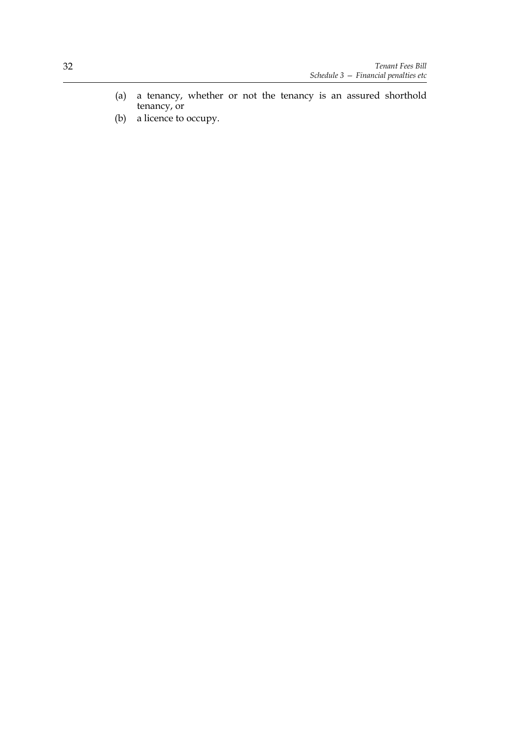- (a) a tenancy, whether or not the tenancy is an assured shorthold tenancy, or
- (b) a licence to occupy.